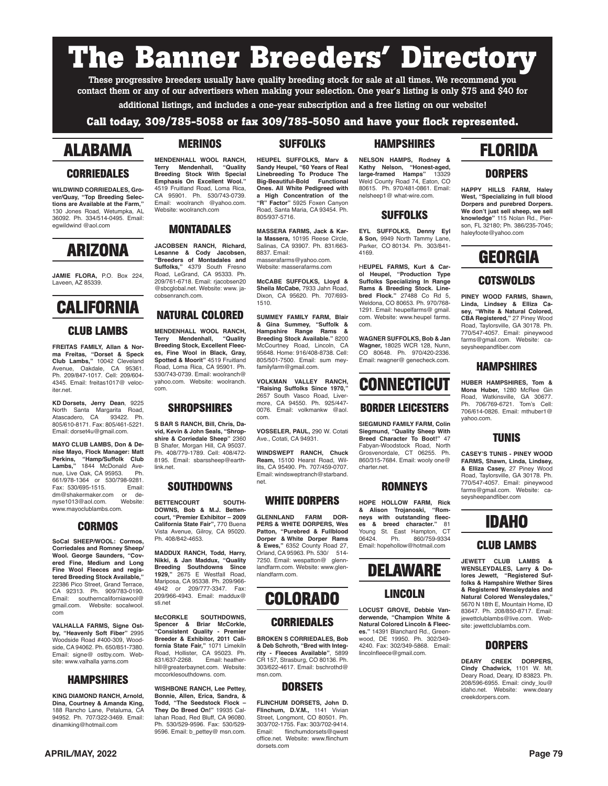# **The Banner Breeders' Directory**

These progressive breeders usually have quality breeding stock for sale at all times. We recommend you contact them or any of our advertisers when making your selection. One year's listing is only \$75 and \$40 for

additional listings, and includes a one-year subscription and a free listing on our website!

#### **Call today, 309/785-5058 or fax 309/785-5050 and have your flock represented.**

### **ALABAMA**

#### **CORRIEDALES**

**WILDWIND CORRIEDALES, Grover/Quay, "Top Breeding Selec**tions are Available at the Farm, 130 Jones Road, Wetumpka, AL 36092. Ph. 334/514-0495. Email: egwildwind @aol.com

### **ARIZONA**

**JAMIE FLORA,** P.O. Box 224, Laveen, AZ 85339.

## **CALIFORNIA**

#### **CLUB LAMBS**

**FREITAS FAMILY, Allan & Norma Freitas, "Dorset & Speck Club Lambs,"** 10042 Cleveland Avenue, Oakdale, CA 95361. Ph. 209/847-1017. Cell: 209/604- 4345. Email: freitas1017@ velociter.net.

**KD Dorsets, Jerry Dean**, 9225 North Santa Margarita Road,<br>Atascadero, CA 93422. Ph. Atascadero, CA 805/610-8171. Fax: 805/461-5221. Email: dorset4u@gmail.com.

**MAYO CLUB LAMBS, Don & Denise Mayo, Flock Manager: Matt Perkins, "Hamp/Suffolk Club Lambs,"** 1844 McDonald Avenue, Live Oak, CA 95953. Ph. 661/978-1364 or 530/798-9281. Fax: 530/695-1515. Email: dm@shakermaker.com or de-<br>nyse1013@aol.com Website: nyse1013@aol.com. www.mayoclublambs.com.

#### **CORMOS**

**SoCal SHEEP/WOOL: Cormos, Corriedales and Romney Sheep/ Wool. George Saunders, "Covered Fine, Medium and Long Fine Wool Fleeces and regis-tered Breeding Stock Available,"** 22386 Pico Street, Grand Terrace, CA 92313. Ph. 909/783-0190. Email: southerncaliforniawool@ gmail.com. Website: socalwool. com

**VALHALLA FARMS, Signe Ostby, "Heavenly Soft Fiber"** 2995 Woodside Road #400-309, Woodside, CA 94062. Ph. 650/851-7380. Email: signe@ ostby.com. Website: www.valhalla yarns.com

#### **HAMPSHIRES**

**KING DIAMOND RANCH, Arnold, Dina, Courtney & Amanda King,** 188 Rancho Lane, Petaluma, CA 94952. Ph. 707/322-3469. Email: dinamking@hotmail.com

#### **MERINOS**

**MENDENHALL WOOL RANCH, Terry Mendenhall, "Quality Breeding Stock With Special Emphasis On Excellent Wool."** 4519 Fruitland Road, Loma Rica, CA 95901. Ph. 530/743-0739. Email: woolranch @yahoo.com. Website: woolranch.com

#### **MONTADALES**

**JACOBSEN RANCH, Richard, Lesanne & Cody Jacobsen, "Breeders of Montadales and Suffolks,"** 4379 South Fresno Road, LeGrand, CA 95333. Ph. 209/761-6718. Email: rjacobsen20 @sbcglobal.net. Website: www. ja-

### **NATURAL COLORED**

cobsenranch.com.

**MENDENHALL WOOL RANCH, Terry Mendenhall, Breeding Stock, Excellent Fleeces, Fine Wool in Black, Gray, Spotted & Moorit"** 4519 Fruitland Road, Loma Rica, CA 95901. Ph. 530/743-0739. Email: woolranch@ yahoo.com. Website: woolranch. com.

#### **SHROPSHIRES**

**S BAR S RANCH, Bill, Chris, David, Kevin & John Seals, "Shrop-shire & Corriedale Sheep"** 2360 B Shafer, Morgan Hill, CA 95037. Ph. 408/779-1789. Cell: 408/472- 8195. Email: sbarssheep@earthlink.net.

#### **SOUTHDOWNS**

**BETTENCOURT SOUTH-DOWNS, Bob & M.J. Bettencourt, "Premier Exhibitor – 2009 California State Fair",** 770 Buena Vista Avenue, Gilroy, CA 95020. Ph. 408/842-4653.

**MADDUX RANCH, Todd, Harry, Nikki, & Jan Maddux, "Quality Breeding Southdowns Since 1929,"** 2675 E Westfall Road, Mariposa, CA 95338. Ph. 209/966- 4942 or 209/777-3347. Fax: 209/966-4943. Email: maddux@ sti.net

**McCORKLE SOUTHDOWNS, Spencer & Briar McCorkle, "Consistent Quality - Premier Breeder & Exhibitor, 2011 California State Fair,"** 1071 Limekiln Road, Hollister, CA 95023. Ph.<br>831/637-2268. Email: heather-831/637-2268. Email: heather-hill@greaterbaynet.com. Website: mccorklesouthdowns. com.

**WISHBONE RANCH, Lee Pettey, Bonnie, Allen, Erica, Sandra, & Todd, "The Seedstock Flock – They Do Breed On!"** 19935 Callahan Road, Red Bluff, CA 96080. Ph. 530/529-9596. Fax: 530/529- 9596. Email: b\_pettey@ msn.com.

#### **SUFFOLKS**

**HEUPEL SUFFOLKS, Marv & Sandy Heupel, "60 Years of Real Linebreeding To Produce The Big-Beautiful-Bold Functional Ones. All White Pedigreed with a High Concentration of the "R" Factor"** 5925 Foxen Canyon Road, Santa Maria, CA 93454. Ph. 805/937-5716.

**MASSERA FARMS, Jack & Karla Massera,** 10195 Reese Circle, Salinas, CA 93907. Ph. 831/663- 8837. Email: masserafarms@yahoo.com. Website: masserafarms.com

**McCABE SUFFOLKS, Lloyd & Sheila McCabe,** 7933 Jahn Road, Dixon, CA 95620. Ph. 707/693- 1510.

**SUMMEY FAMILY FARM, Blair & Gina Summey, "Suffolk & Hampshire Range Rams & Breeding Stock Available."** 8200 McCourtney Road, Lincoln, CA 95648. Home: 916/408-8738. Cell: 805/501-7500. Email: sum meyfamilyfarm@gmail.com.

**VOLKMAN VALLEY RANCH, "Raising Suffolks Since 1970,"**  2657 South Vasco Road, Livermore, CA 94550. Ph. 925/447- 0076. Email: volkmankw @aol. com.

**VOSSELER, PAUL,** 290 W. Cotati Ave., Cotati, CA 94931.

**WINDSWEPT RANCH, Chuck Ream,** 15100 Hearst Road, Willits, CA 95490. Ph. 707/459-0707. Email: windsweptranch@starband. net.

#### **WHITE DORPERS**

**GLENNLAND FARM DOR-PERS & WHITE DORPERS, Wes Patton, "Purebred & Fullblood Dorper & White Dorper Rams & Ewes,"** 6352 County Road 27, Orland, CA 95963. Ph. 530/ 514- 7250. Email: wespatton@ glennlandfarm.com. Website: www.glennlandfarm.com.

### **COLORADO**

#### **CORRIEDALES**

**BROKEN S CORRIEDALES, Bob & Deb Schroth, "Bred with Integ-rity - Fleeces Available"**, 5899 CR 157, Strasburg, CO 80136. Ph. 303/622-4617. Email: bschrothd@ msn.com.

#### **DORSETS**

**FLINCHUM DORSETS, John D. Flinchum, D.V.M.,** 1141 Vivian Street, Longmont, CO 80501. Ph. 303/702-1755. Fax: 303/702-9414.<br>Email: flinchumdorsets@gwest flinchumdorsets@gwest office.net. Website: www.flinchum dorsets.com

#### **HAMPSHIRES**

**NELSON HAMPS, Rodney & Kathy Nelson, "Honest-aged, large-framed Hamps"** 13329 Weld County Road 74, Eaton, CO 80615. Ph. 970/481-0861. Email: nelsheep1@ what-wire.com.

#### **SUFFOLKS**

**EYL SUFFOLKS, Denny Eyl & Son,** 9949 North Tammy Lane, Parker, CO 80134. Ph. 303/841- 4169.

H**EUPEL FARMS, Kurt & Carol Heupel, "Production Type Suffolks Specializing In Range Rams & Breeding Stock. Line-bred Flock."** 27488 Co Rd 5, Weldona, CO 80653. Ph. 970/768- 1291. Email: heupelfarms@ gmail. com. Website: www.heupel farms. com.

**WAGNER SUFFOLKS, Bob & Jan Wagner,** 18025 WCR 128, Nunn, CO 80648. Ph. 970/420-2336. Email: rwagner@ genecheck.com.

## **CONNECTICUT**

#### **BORDER LEICESTERS**

**SIEGMUND FAMILY FARM, Colin Siegmund, "Quality Sheep With Breed Character To Boot!"** 47 Fabyan-Woodstock Road, North Grosvenordale, CT 06255. Ph. 860/315-7684. Email: wooly one@ charter.net.

#### **ROMNEYS**

**HOPE HOLLOW FARM, Rick & Alison Trojanoski, "Romneys** with outstanding fleec-<br>es & breed character." 81 es & breed character." Young St. East Hampton, CT<br>06424. Ph. 860/759-9334 06424. Ph. 860/759-9334 Email: hopehollow@hotmail.com



#### **LINCOLN**

**LOCUST GROVE, Debbie Vanderwende, "Champion White & Natural Colored Lincoln & Fleeces."** 14391 Blanchard Rd., Greenwood, DE 19950. Ph. 302/349- 4240. Fax: 302/349-5868. Email: lincolnfleece@gmail.com.

### **FLORIDA**

#### **DORPERS**

**HAPPY HILLS FARM, Haley West, "Specializing in full blood Dorpers and purebred Dorpers. We don't just sell sheep, we sell knowledge"** 115 Nolan Rd., Pierson, FL 32180; Ph. 386/235-7045; haleyfoote@yahoo.com



#### **COTSWOLDS**

**PINEY WOOD FARMS, Shawn, Linda, Lindsey & Elliza Ca-sey, "White & Natural Colored, CBA Registered,"** 27 Piney Wood Road, Taylorsville, GA 30178. Ph. 770/547-4057. Email: pineywood farms@gmail.com. Website: caseysheepandfiber.com

#### **HAMPSHIRES**

**HUBER HAMPSHIRES, Tom & Mona Huber,** 1280 McRee Gin Road, Watkinsville, GA 30677. Ph. 706/769-6721. Tom's Cell: 706/614-0826. Email: mthuber1@ yahoo.com.

#### **TUNIS**

**CASEY'S TUNIS - PINEY WOOD FARMS, Shawn, Linda, Lindsey, & Elliza Casey,** 27 Piney Wood Road, Taylorsville, GA 30178. Ph. 770/547-4057. Email: pineywood farms@gmail.com. Website: caseysheepandfiber.com

### **IDAHO**

#### **CLUB LAMBS**

**JEWETT CLUB LAMBS & WENSLEYDALES, Larry & Dolores Jewett, "Registered Suffolks & Hampshire Wether Sires & Registered Wensleydales and Natural Colored Wensleydales,** 5670 N 18th E, Mountain Home, ID 83647. Ph. 208/850-8717. Email: jewettclublambs@live.com. Website: jewettclublambs.com.

#### **DORPERS**

**DEARY CREEK DORPERS, Cindy Chadwick,** 1101 W. Mt. Deary Road, Deary, ID 83823. Ph. 208/596-6955. Email: cindy\_lou@ idaho.net. Website: www.deary creekdorpers.com.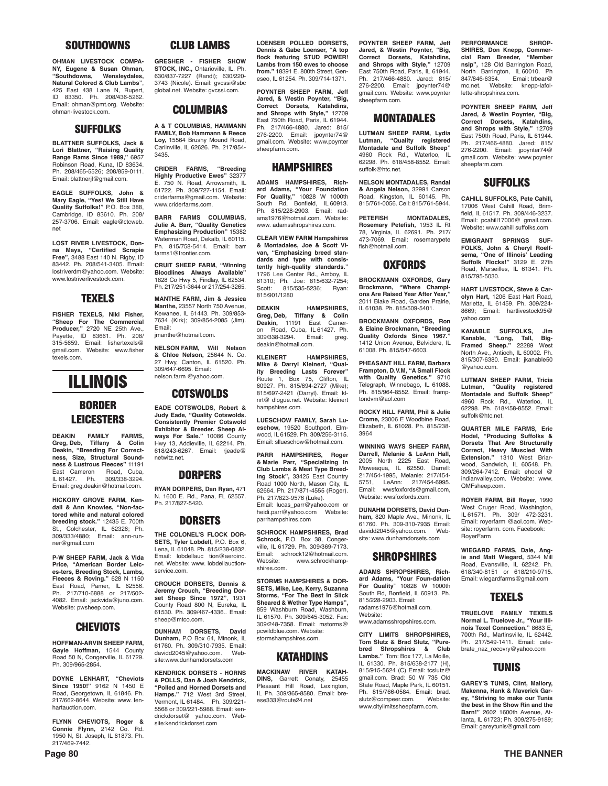#### **SOUTHDOWNS**

**OHMAN LIVESTOCK COMPA-NY, Eugene & Susan Ohman, "Southdowns, Wensleydales, Natural Colored & Club Lambs"**, 425 East 438 Lane N. Rupert, ID 83350. Ph. 208/436-5262. Email: ohman@pmt.org. Website: ohman-livestock.com.

#### **SUFFOLKS**

**BLATTNER SUFFOLKS, Jack & Lori Blattner, "Raising Quality Range Rams Since 1989,"** 6957 Robinson Road, Kuna, ID 83634. Ph. 208/465-5526; 208/859-0111. Email: blattnerjl@gmail.com.

**EAGLE SUFFOLKS, John & Mary Eagle, "Yes! We Still Have Quality Suffolks!"** P.O. Box 388, Cambridge, ID 83610. Ph. 208/ 257-3706. Email: eagle@ctcweb. net

**LOST RIVER LIVESTOCK, Donna Mays, "Certified Scrapie Free",** 3488 East 140 N. Rigby, ID 83442. Ph. 208/541-3405. Email: lostriverdm@yahoo.com. Website: www.lostriverlivestock.com.

#### **TEXELS**

**FISHER TEXELS, Niki Fisher, "Sheep For The Commercial Producer,"** 2720 NE 25th Ave., Payette, ID 83661. Ph. 208/ 315-5659. Email: fishertexels@ gmail.com. Website: www.fisher texels.com.

## **ILLINOIS**

#### **BORDER LEICESTERS**

**DEAKIN FAMILY FARMS, Greg, Deb, Tiffany & Colin Deakin, "Breeding For Correct-ness, Size, Structural Soundness & Lustrous Fleeces"** 11191 East Cameron Road, Cuba, IL 61427. Ph. 309/338-3294. Email: greg.deakin@hotmail.com.

**HICKORY GROVE FARM, Kendall & Ann Knowles, "Non-factored white and natural colored breeding stock."** 12435 E. 700th St., Colchester, IL 62326; Ph. 309/333/4880; Email: ann-runner@gmail.com

**P-W SHEEP FARM, Jack & Vida Price, "American Border Leices-ters, Breeding Stock, Lambs, Fleeces & Roving."** 628 N 1150 East Road, Pamer, IL 62556. Ph. 217/710-6888 or 217/502- 4082. Email: jackvida@juno.com. Website: pwsheep.com.

#### **CHEVIOTS**

**HOFFMAN-ARVIN SHEEP FARM, Gayle Hoffman,** 1544 County Road 50 N, Congerville, IL 61729. Ph. 309/965-2854.

**DOYNE LENHART, "Cheviots Since 1950!"** 9162 N 1450 E Road, Georgetown, IL 61846. Ph. 217/662-8644. Website: www. lenhartauction.com.

**FLYNN CHEVIOTS, Roger & Connie Flynn,** 2142 Co. Rd. 1950 N, St. Joseph, IL 61873. Ph. 217/469-7442.

#### **CLUB LAMBS**

**GRESHER - FISHER SHOW STOCK, INC.,** Ontarioville, IL. Ph. 630/837-7227 (Randi); 630/220- 3743 (Nicole). Email: gvcssi@sbc global.net. Website: gvcssi.com.

#### **COLUMBIAS**

**A & T COLUMBIAS, HAMMANN FAMILY, Bob Hammann & Reece Loy,** 15564 Brushy Mound Road, Carlinville, IL 62626. Ph. 217/854- 3435.

**CRIDER FARMS, "Breeding Highly Productive Ewes"** 32377 E. 750 N. Road, Arrowsmith, IL 61722. Ph. 309/727-1154. Email: criderfarms@gmail.com. Website: www.criderfarms.com.

**BARR FARMS COLUMBIAS, Julie A. Barr, "Quality Genetics Emphasizing Production"** 15382 Waterman Road, Dekalb, IL 60115. Ph. 815/758-5414. Email: barr farms1@frontier.com

**CRUIT SHEEP FARM, "Winning Bloodlines Always Available"** 1828 Co Hwy 5, Findlay, IL 62534. Ph. 217/251-3644 or 217/254-3265.

**MANTHE FARM, Jim & Jessica Manthe,** 23557 North 750 Avenue, Kewanee, IL 61443. Ph. 309/853- 7634 (Kirk); 309/854-2085 (Jim). Email:

jmanthe@hotmail.com.

**NELSON FARM, Will Nelson & Chloe Nelson,** 25644 N. Co. 27 Hwy, Canton, IL 61520. Ph. 309/647-6695. Email: nelson.farm @yahoo.com.

#### **COTSWOLDS EADE COTSWOLDS, Robert &**

**Judy Eade, "Quality Cotswolds. Consistently Premier Cotswold Exhibitor & Breeder. Sheep Always For Sale."** 10086 County Hwy 13, Addieville, IL 62214. Ph. 618/243-6267. Email: rjeade@ netwitz.net.

#### **DORPERS**

**RYAN DORPERS, Dan Ryan,** 471 N. 1600 E. Rd., Pana, FL 62557. Ph. 217/827-5420.

#### **DORSETS**

**THE COLONEL'S FLOCK DOR-SETS, Tyler Lobdell,** P.O. Box 6, Lena, IL 61048. Ph. 815/238-0832. Email: lobdellauc tion@aeroinc. net. Website: www. lobdellauctionservice.com.

**CROUCH DORSETS, Dennis & Jeremy Crouch, "Breeding Dorset Sheep Since 1972"**, 1931 County Road 800 N, Eureka, IL 61530. Ph. 309/467-4336.. Email: sheep@mtco.com.

**DUNHAM DORSETS, David Dunham,** P.O Box 64, Minonk, IL 61760. Ph. 309/310-7935. Email: davidd2045@yahoo.com. site:www.dunhamdorsets.com

**KENDRICK DORSETS - HORNS & POLLS, Dan & Josh Kendrick, "Polled and Horned Dorsets and Hamps."** 712 West 3rd Street, Vermont, IL 61484. Ph. 309/221- 5568 or 309/221-5988. Email: kendrickdorset@ yahoo.com. Website:kendrickdorset.com

**LOENSER POLLED DORSETS, Dennis & Gabe Loenser, "A top flock featuring STUD POWER! Lambs from 150 ewes to choose from."** 18391 E. 800th Street, Geneseo, IL 61254. Ph. 309/714-1371.

**POYNTER SHEEP FARM, Jeff Jared, & Westin Poynter, "Big, Correct Dorsets, Katahdins, and Shrops with Style,"** 12709 East 750th Road, Paris, IL 61944. Ph. 217/466-4880. Jared: 815/ 276-2200. Email: jpoynter74@ gmail.com. Website: www.poynter sheepfarm.com.

#### **HAMPSHIRES**

**ADAMS HAMPSHIRES, Richard Adams, "Your Foundation For Quality,"** 10828 W 1000th South Rd, Bonfield, IL 60913. Ph. 815/228-2903. Email: radams1976@hotmail.com. Website: www. adamsshropshires.com.

**CLEAR VIEW FARM Hampshires & Montadales, Joe & Scott Vivan, "Emphasizing breed standards and type with consistently high-quality standards."** 1796 Lee Center Rd., Amboy, IL 61310; Ph. Joe: 815/632-7254; Scott: 815/535-5236; Ryan: 815/901/1280

**DEAKIN HAMPSHIRES, Greg, Deb, Tiffany & Colin Deakin,** 11191 East Camer-Road, Cuba, IL 61427. Ph. 309/338-3294. Email: greg. deakin@hotmail.com.

**KLEINERT HAMPSHIRES, Mike & Darryl Kleinert, "Quality Breeding Lasts Forever"** Route 1, Box 75, Clifton, IL 60927. Ph. 815/694-2727 (Mike); 815/697-2421 (Darryl). Email: klnrt@ dlogue.net. Website: kleinert hampshires.com.

**LUESCHOW FAMILY, Sarah Lueschow,** 19520 Southport, Elmwood, IL 61529. Ph. 309/256-3115. Email: sllueschow@hotmail.com.

**PARR HAMPSHIRES, Roger & Marie Parr, "Specializing In Club Lambs & Meat Type Breeding Stock",** 33425 East Country Road 1000 North, Mason City, IL 62664. Ph. 217/871-4555 (Roger). Ph. 217/823-9576 (Luke). Email: lucas\_parr@yahoo.com or heidi.parr@yahoo.com Website: parrhampshires.com

**SCHROCK HAMPSHIRES, Brad Schrock,** P.O. Box 38, Congerville, IL 61729. Ph. 309/369-7173. Email: schrock12@hotmail.com.<br>Website: www.schrockhampwww.schrockhampshires.com.

**STORMS HAMPSHIRES & DOR-SETS, Mike, Lee, Kerry, Suzanna Storms, "For The Best In Slick Sheared & Wether Type Hamps",**  859 Washburn Road, Washburn, IL 61570. Ph. 309/645-3052. Fax: 309/248-7358. Email: mstorms@ pcwildblue.com. Website: stormshampshires.com.

#### **KATAHDINS**

**MACKINAW RIVER KATAH-DINS,** Garrett Conaty, 25455 Pleasant Hill Road, Lexington, IL Ph. 309/365-8580. Email: breese333@route24.net

**POYNTER SHEEP FARM, Jeff Jared, & Westin Poynter, "Big, Correct Dorsets, Katahdins, and Shrops with Style,"** 12709 East 750th Road, Paris, IL 61944.<br>Ph. 217/466-4880. Jared: 815/ 217/466-4880. Jared: 815/ 276-2200. Email: jpoynter74@ gmail.com. Website: www.poynter sheepfarm.com.

#### **MONTADALES**

**LUTMAN SHEEP FARM, Lydia Lutman, "Quality registered Montadale and Suffolk Sheep"** 4960 Rock Rd., Waterloo, IL 62298. Ph. 618/458-8552. Email: suffolk@htc.net.

**NELSON MONTADALES, Randal & Angela Nelson,** 32991 Carson Road, Kingston, IL 60145. Ph. 815/761-0056. Cell: 815/761-5944.

**PETEFISH MONTADALES, Rosemary Petefish,** 1953 IL Rt 78, Virginia, IL 62691. Ph. 217/ 473-7069. Email: rosemarypete fish@hotmail.com.

#### **OXFORDS**

**BROCKMANN OXFORDS, Gary Brockmann, "Where Champi-ons Are Raised Year After Year,"** 2011 Blake Road, Garden Prairie, IL 61038. Ph. 815/509-5401.

**BROCKMANN OXFORDS, Ron & Elaine Brockmann, "Breeding Quality Oxfords Since 1967.** 1412 Union Avenue, Belvidere, IL 61008. Ph. 815/547-6603.

**PHEASANT HILL FARM, Barbara Frampton, D.V.M, "A Small Flock**  with Quality Genetics." Telegraph, Winnebago, IL 61088. Ph. 815/964-8552. Email: framptondvm@aol.com

**ROCKY HILL FARM, Phil & Julie Crome,** 23006 E Woodbine Road, Elizabeth, IL 61028. Ph. 815/238- 3964

**WINNING WAYS SHEEP FARM, Darrell, Melanie & LeAnn Hall,**  2005 North 2225 East Road, Moweaqua, IL 62550. Darrell: 217/454-1995, Melanie: 217/454- 5751, LeAnn: 217/454-6995. Email: wwsfoxfords@gmail.com, Website: wwsfoxfords.com

**DUNAHM DORSETS, David Dunham,** 820 Maple Ave., Minonk, IL 61760. Ph. 309-310-7935 Email: davidd2045@yahoo.com. Website: www.dunhamdorsets.com

#### **SHROPSHIRES**

**ADAMS SHROPSHIRES, Richard Adams, "Your Foun-dation For Quality**" 10828 W 1000th South Rd, Bonfield, IL 60913. Ph. 815/228-2903. Email: radams1976@hotmail.com. Website: www.adamsshropshires.com.

**CITY LIMITS SHROPSHIRES, Tom Slutz & Brad Slutz, "Purebred Shropshires & Club Lambs."** Tom: Box 177, La Moille, IL 61330. Ph. 815/638-2177 (H), 815/915-5624 (C) Email: tcslutz@ gmail.com. Brad: 50 W 735 Old State Road, Maple Park, IL 60151. Ph. 815/766-0584. Email: brad.<br>slutz@compeer.com. Website: slutz@compeer.com. www.citylimitssheepfarm.com.

**PERFORMANCE SHROP-SHIRES, Don Knepp, Commercial Ram Breeder, "Member nsip",** 128 Old Barrington Road, North Barrington, IL 60010. Ph 847/846-6354. Email: trbear@ mc.net. Website: knepp-lafollette-shropshires.com.

**POYNTER SHEEP FARM, Jeff Jared, & Westin Poynter, "Big, Correct Dorsets, Katahdins, and Shrops with Style,"** 12709 East 750th Road, Paris, IL 61944. Ph. 217/466-4880. Jared: 815/ 276-2200. Email: jpoynter74@ gmail.com. Website: www.poynter sheepfarm.com.

#### **SUFFOLKS**

**CAHILL SUFFOLKS, Pete Cahill,**  17006 West Cahill Road, Brim-field, IL 61517. Ph. 309/446-3237. Email: pcahill17006@ gmail.com. Website: www.cahill suffolks.com

**EMIGRANT SPRINGS SUF-FOLKS, John & Cheryl Roelf-sema, "One of Illinois' Leading Suffolk Flocks!"** 3129 E. 27th Road, Marseilles, IL 61341. Ph. 815/795-5030.

**HART LIVESTOCK, Steve & Carolyn Hart,** 1206 East Hart Road, Marietta, IL 61459. Ph. 309/224- 8669; Email: hartlivestock95@ yahoo.com

**KANABLE SUFFOLKS, Jim Kanable, "Long, Tall, Big-Framed Sheep."** 22289 West North Ave., Antioch, IL 60002. Ph. 815/307-6380. Email: jkanable50 @yahoo.com.

**LUTMAN SHEEP FARM, Tricia Lutman, "Quality registered Montadale and Suffolk Sheep"** 4960 Rock Rd., Waterloo, IL 62298. Ph. 618/458-8552. Email: suffolk@htc.net

**QUARTER MILE FARMS, Eric Hodel, "Producing Suffolks & Dorsets That Are Structurally Correct, Heavy Muscled With Extension."** 1310 West Briar-wood, Sandwich, IL 60548. Ph. 309/264-7412. Email: ehodel @ indianvalley.com. Website: www. QMFsheep.com.

**ROYER FARM, Bill Royer,** 1990 West Cruger Road, Washington, IL 61571. Ph. 309/ 472-3231. Email: royerfarm @aol.com. Website: royerfarm. com. Facebook: RoyerFarm

**WIEGARD FARMS, Dale, Angie and Matt Wiegard,** 5344 Mill Road, Evansville, IL 62242. Ph. 618/340-8151 or 618/210-9715. Email: wiegardfarms@gmail.com



**TRUELOVE FAMILY TEXELS Normal L. Truelove Jr., "Your Illi-nois Texel Connection."** 8683 E, 700th Rd., Martinsville, IL 62442. Ph. 217/549-1411. Email: celebrate\_naz\_recovry@yahoo.com

#### **TUNIS**

**GAREY'S TUNIS, Clint, Mallory, Makenna, Hank & Maverick Garey, "Striving to make our Tunis the best in the Show Rin and the Barn!"** 2602 1600th Avenue, Atlanta, IL 61723; Ph. 309/275-9189; Email: gareytunis@gmail.com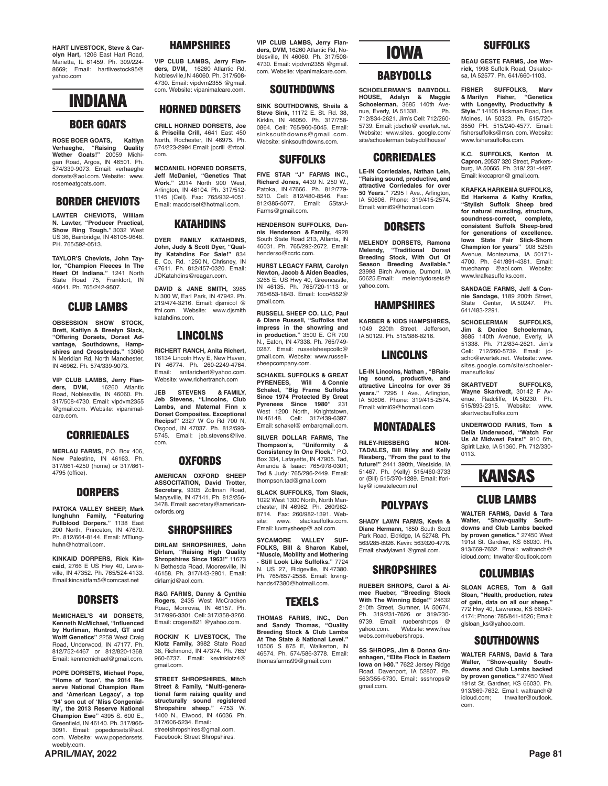**HART LIVESTOCK, Steve & Carolyn Hart,** 1206 East Hart Road, Marietta, IL 61459. Ph. 309/224- 8669; Email: hartlivestock95@ yahoo.com



#### **BOER GOATS**

**ROSE BOER GOATS, Kaitlyn Verhaeghe, "Raising Quality Wether Goats!"** 20059 Michigan Road, Argos, IN 46501. Ph. 574/339-9073. Email: verhaeghe dorsets@aol.com. Website: www. rosemeatgoats.com.

#### **BORDER CHEVIOTS**

**LAWTER CHEVIOTS, William N. Lawter, "Producer Practical, Show Ring Tough."** 3032 West US 36, Bainbridge, IN 46105-9648. PH. 765/592-0513.

**TAYLOR'S Cheviots, John Taylor, "Champion Fleeces In The Heart Of Indiana."** 1241 North State Road 75, Frankfort, IN 46041. Ph. 765/242-9507.

#### **CLUB LAMBS**

**OBSESSION SHOW STOCK, Brett, Kaitlyn & Breelyn Slack, "Offering Dorsets, Dorset Advantage, Southdowns, Hamp-shires and Crossbreds."** 13060 N Meridian Rd, North Manchester, IN 46962. Ph. 574/339-9073.

**VIP CLUB LAMBS, Jerry Flan-ders, DVM,** 16260 Atlantic Road, Noblesville, IN 46060. Ph. 317/508-4730. Email: vipdvm2355 @gmail.com. Website: vipanimalcare.com.

#### **CORRIEDALES**

**MERLAU FARMS,** P.O. Box 406, New Palestine, IN 46163. Ph. 317/861-4250 (home) or 317/861- 4795 (office).

#### **DORPERS**

**PATOKA VALLEY SHEEP, Mark Iunghuhn Family, "Featuring Fullblood Dorpers."** 1138 East 200 North, Princeton, IN 47670. Ph. 812/664-8144. Email: MTiunghuhn@hotmail.com.

**KINKAID DORPERS, Rick Kincaid**, 2766 E US Hwy 40, Lewisville, IN 47352. Ph. 765/524-4133. Email:kincaidfam5@comcast.net

#### **DORSETS**

**McMICHAEL'S 4M DORSETS, Kenneth McMichael, "Influenced by Hurliman, Huntrod, GT and Wolff Genetics"** 2259 West Craig Road, Underwood, IN 47177. Ph. 812/752-4467 or 812/820-1368. Email: kenmcmichael@gmail.com.

**POPE DORSETS, Michael Pope, "Home of 'Icon', the 2014 Reserve National Champion Ram and 'American Legacy', a top '94' son out of 'Miss Congeniality', the 2013 Reserve National Champion Ewe"** 4395 S. 600 E., Greenfield, IN 46140. Ph. 317/966- 3091. Email: popedorsets@aol. com. Website: www.popedorsets. weebly.com.

#### **APRIL/MAY, 2022 Page 81**

#### **HAMPSHIRES**

**VIP CLUB LAMBS, Jerry Flanders, DVM,** 16260 Atlantic Rd, Noblesville,IN 46060. Ph. 317/508- 4730. Email: vipdvm2355 @gmail. com. Website: vipanimalcare.com.

#### **HORNED DORSETS**

**CRILL HORNED DORSETS, Joe & Priscilla Crill,** 4641 East 450 North, Rochester, IN 46975. Ph. 574/223-2994.Email: jpcrill @rtcol. com.

**MCDANIEL HORNED DORSETS, Jeff McDaniel, "Genetics That Work."** 2014 North 900 West, Arlington, IN 46104. Ph. 317/512- 1145 (Cell). Fax: 765/932-4051. Email: macdorset@hotmail.com.

#### **KATAHDINS**

**DYER FAMILY KATAHDINS, John, Judy & Scott Dyer, "Quality Katahdins For Sale!"** 834 Co. Rd. 1250 N, Chrisney, IN 47611. Ph. 812/457-0320. Email: JDKatahdins@reagan.com.

**DAVID & JANE SMITH,** 3985 N 300 W, Earl Park, IN 47942. Ph. 219/474-3216. Email: djsmicol @ ffni.com. Website: www.djsmith katahdins.com.

#### **LINCOLNS**

**RICHERT RANCH, Anita Richert,** 16134 Lincoln Hwy E, New Haven, IN 46774. Ph. 260-2249-4764. Email: anitarichert@yahoo.com. Website: www.richertranch.com

J**EB STEVENS & FAMILY, Jeb Stevens, "Lincolns, Club Lambs, and Maternal Finn x Dorset Composites. Exceptional Recips!"** 2327 W Co Rd 700 N, Osgood, IN 47037. Ph. 812/593- 5745. Email: jeb.stevens@live. com.

#### **OXFORDS**

**AMERICAN OXFORD SHEEP ASSOCITATION, David Trotter, Secretary,** 9305 Zollman Road, Marysville, IN 47141. Ph. 812/256- 3478. Email: secretary@americanoxfords.org

#### **SHROPSHIRES**

**DIRLAM SHROPSHIRES, John Dirlam, "Raising High Quality Shropshires Since 1963!"** 11673 N Bethesda Road, Mooresville, IN 46158. Ph. 317/443-2901. Email: dirlamid@aol.com.

**R&G FARMS, Danny & Cynthia Rogers**, 2435 West McCracken Road, Monrovia, IN 46157. Ph. 317/996-3301. Cell: 317/358-3260. Email: crogers821 @yahoo.com.

**ROCKIN' K LIVESTOCK, The Klotz Family,** 3982 State Road 38, Richmond, IN 47374. Ph. 765/ 960-6737. Email: kevinklotz4@ gmail.com.

**STREET SHROPSHIRES, Mitch Street & Family, "Multi-generational farm raising quality and structurally sound registered Shropshire sheep."** 4753 W. 1400 N., Elwood, IN 46036. Ph. 317/606-5234. Email: streetshropshires@gmail.com Facebook: Street Shropshires.

**VIP CLUB LAMBS, Jerry Flanders, DVM**, 16260 Atlantic Rd, Noblesville, IN 46060. Ph. 317/508- 4730. Email: vipdvm2355 @gmail. com. Website: vipanimalcare.com.

#### **SOUTHDOWNS**

**SINK SOUTHDOWNS, Sheila & Steve Sink,** 11172 E. St. Rd. 38, Kirklin, IN 46050. Ph. 317/758- 0864. Cell: 765/960-5045. Email: sinksouthdowns@gmail.com. Website: sinksouthdowns.com.

#### **SUFFOLKS**

**FIVE STAR "J" FARMS INC., Richard Jones,** 4439 N. 250 W., Patoka, IN 47666. Ph. 812/779- 5210. Cell: 812/480-8546. Fax: 812/385-5077. Email: 5StarJ-Farms@gmail.com.

**HENDERSON SUFFOLKS, Dennis Henderson & Family,** 4928 South State Road 213, Atlanta, IN 46031. Ph. 765/292-2672. Email: henderso@ccrtc.com.

**HURST LEGACY FARM, Carolyn Newton, Jacob & Aiden Beadles,**  3265 E. US Hwy 40, Greencastle, IN 46135. Ph. 765/720-1113 or 765/653-1843. Email: toco4552@ gmail.com.

**RUSSELL SHEEP CO. LLC, Paul & Diane Russell, "Suffolks that impress in the showring and in production."** 3500 E. CR 700 N., Eaton, IN 47338. Ph. 765/749- 0287. Email: russelsheepcollc@ gmail.com. Website: www.russellsheepcompany.com.

**SCHAKEL SUFFOLKS & GREAT PYRENEES, Will & Connie Schakel, "Big Frame Suffolks Since 1974 Protected By Great Pyrenees Since 1980"** 231 West 1200 North, Knightstown, IN 46148. Cell: 317/439-6397. Email: schakel@ embarqmail.com.

**SILVER DOLLAR FARMS, The Thompson's, "Uniformity & Consistency In One Flock."** P.O. Box 334, Lafayette, IN 47905. Tad, Amanda & Isaac: 765/978-0301; Ted & Judy: 765/296-2449. Email: thompson.tad@gmail.com

**SLACK SUFFOLKS, Tom Slack,** 1022 West 1300 North, North Manchester, IN 46962. Ph. 260/982- 8714. Fax: 260/982-1391. Webwww. slacksuffolks.com. Email: luvmysheep@ aol.com.

**SYCAMORE VALLEY SUF-FOLKS, Bill & Sharon Kabel, "Muscle, Mobility and Mothering - Still Look Like Suffolks."** 7724 N. US 27, Ridgeville, IN 47380. Ph. 765/857-2558. Email: lovinghands47380@hotmail.com.

#### **TEXELS**

**THOMAS FARMS, INC., Don and Sandy Thomas, "Quality Breeding Stock & Club Lambs At The State & National Level."** 10506 S 875 E, Walkerton, IN 46574. Ph. 574/586-3778. Email: thomasfarms99@gmail.com

### **IOWA**

#### **BABYDOLLS**

**SCHOELERMAN'S BABYDOLL HOUSE, Adalyn & Maggie Schoelerman,** 3685 140th Avenue, Everly, IA 51338. Ph. 712/834-2621. Jim's Cell: 712/260- 5739. Email: jdscho@ evertek.net. Website: www.sites. google.com/ site/schoelerman babydollhouse/

#### **CORRIEDALES**

**LE-IN Corriedales, Nathan Lein, "Raising sound, productive, and attractive Corriedales for over 50 Years."** 7295 I Ave., Arlington, IA 50606. Phone: 319/415-2574. Email: wimi69@hotmail.com

#### **DORSETS**

**MELENDY DORSETS, Ramona Melendy, "Traditional Dorset Breeding Stock, With Out Of Season Breeding Available."** 23998 Birch Avenue, Dumont, IA 50625.Email: melendydorsets@ yahoo.com.

#### **HAMPSHIRES**

**KARBER & KIDS HAMPSHIRES,** 1049 220th Street, Jefferson, IA 50129. Ph. 515/386-8216.

#### **LINCOLNS**

**LE-IN Lincolns, Nathan , "BRaising sound, productive, and attractive Lincolns for over 35 years."** 7295 I Ave., Arlington, IA 50606. Phone: 319/415-2574. Email: wimi69@hotmail.com

#### **MONTADALES**

**RILEY-RIESBERG MON-TADALES, Bill Riley and Kelly Riesberg, "From the past to the future!"** 2441 390th, Westside, IA 51467. Ph. (Kelly) 515/460-3733 or (Bill) 515/370-1289. Email: lforiley@ iowatelecom.net

#### **POLYPAYS**

**SHADY LAWN FARMS, Kevin & Diane Hermann,** 1850 South Scott Park Road, Eldridge, IA 52748. Ph. 563/285-8926. Kevin: 563/320-4778. Email: shadylawn1 @gmail.com.

#### **SHROPSHIRES**

**RUEBER SHROPS, Carol & Aimee Rueber, "Breeding Stock With The Winning Edge!"** 24632 210th Street, Sumner, IA 50674. Ph. 319/231-7626 or 319/230- 9739. Email: ruebershrops @<br>vahoo.com. Website: www.free yahoo.com. Website: www.free webs.com/ruebershrops.

**SS SHROPS, Jim & Donna Gruenhagen, "Elite Flock in Eastern Iowa on I-80."** 7622 Jersey Ridge Road, Davenport, IA 52807. Ph. 563/355-6730. Email: ssshrops@ gmail.com.

**BEAU GESTE FARMS, Joe Warrick,** 1998 Suffolk Road, Oskaloosa, IA 52577. Ph. 641/660-1103.

**SUFFOLKS**

**FISHER SUFFOLKS, Marv & Marilyn Fisher, "Genetics with Longevity, Productivity & Style."** 14105 Hickman Road, Des Moines, IA 50323. Ph. 515/720- 3550 PH. 515/240-4577. Email: fishersuffolks@msn. com. Website: www.fishersuffolks.com.

**K.C. SUFFOLKS, Kenton M. Capron,** 20537 320 Street, Parkersburg, IA 50665. Ph. 319/ 231-4497. Email: kkccapron@ gmail.com.

**KRAFKA HARKEMA SUFFOLKS, Ed Harkema & Kathy Krafka, "Stylish Suffolk Sheep bred for natural muscling, structure, soundness-correct, complete, consistent Suffolk Sheep-bred for generations of excellence. Iowa State Fair Slick-Shorn Champion for years"** 908 525th Avenue, Montezuma, IA 50171- 4700. Ph. 641/891-4381. Email: truechamp @aol.com. Website: www.krafkasuffolks.com.

**SANDAGE FARMS, Jeff & Connie Sandage,** 1189 200th Street, State Center, IA 50247. Ph. 641/483-2291.

**SCHOELERMAN SUFFOLKS, Jim & Denice Schoelerman,** 3685 140th Avenue, Everly, IA 51338. Ph. 712/834-2621. Jim's Cell: 712/260-5739. Email: jdscho@evertek.net. Website: www. sites.google.com/site/schoelermansuffolks/

**SKARTVEDT SUFFOLKS, Wayne Skartvedt,** 30142 F Avenue, Radcliffe, IA 50230. Ph. 515/893-2315. Website: www. skartvedtsuffolks.com

**UNDERWOOD FARMS, Tom & Della Underwood, "Watch For Us At Midwest Fairs!"** 910 6th, Spirit Lake, IA 51360. Ph. 712/330- 0113.

### **KANSAS**

#### **CLUB LAMBS**

**WALTER FARMS, David & Tara Walter, "Show-quality South-downs and Club Lambs backed by proven genetics."** 27450 West 191st St. Gardner, KS 66030. Ph. 913/669-7632. Email: waltranch@ icloud.com; tnwalter@outlook.com

#### **COLUMBIAS**

**SLOAN ACRES, Tom & Gail Sloan, "Health, production, rates of gain, data on all our sheep."** 772 Hwy 40, Lawrence, KS 66049- 4174; Phone: 785/841-1526; Email: glsloan\_ks@yahoo.com.

#### **SOUTHDOWNS**

**WALTER FARMS, David & Tara Walter, "Show-quality Southdowns and Club Lambs backed by proven genetics."** 27450 West 191st St. Gardner, KS 66030. Ph. 913/669-7632. Email: waltranch@<br>icloud.com: tnwalter@outlook. icloud.com; tnwalter@outlook. com.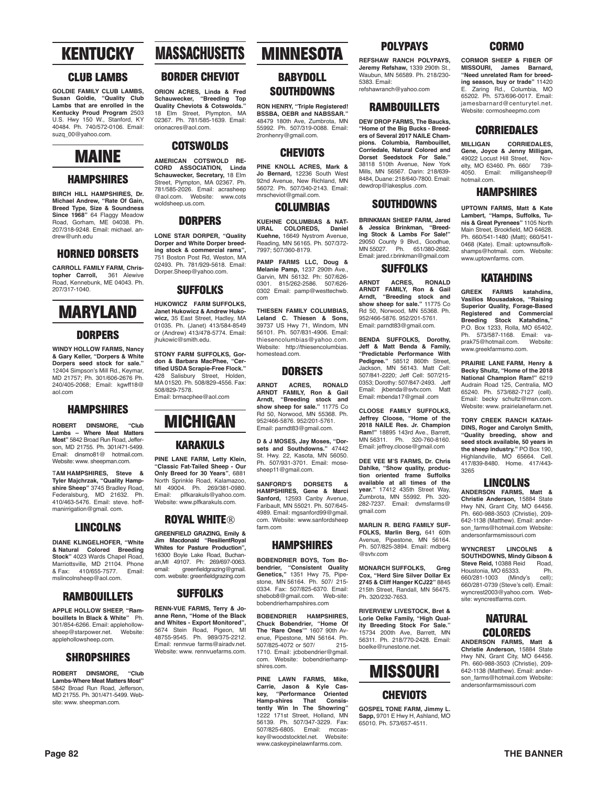### **KENTUCKY**

#### **CLUB LAMBS**

**GOLDIE FAMILY CLUB LAMBS, Susan Goldie, "Quality Club Lambs that are enrolled in the Kentucky Proud Program** 2503 U.S. Hwy 150 W., Stanford, KY 40484. Ph. 740/572-0106. Email: suzq\_00@yahoo.com.

### **MAINE**

#### **HAMPSHIRES**

**BIRCH HILL HAMPSHIRES, Dr. Michael Andrew, "Rate Of Gain, Breed Type, Size & Soundness Since 1968"** 64 Flaggy Meadow Road, Gorham, ME 04038. Ph. 207/318-9248. Email: michael. andrew@unh.edu

#### **HORNED DORSETS**

**CARROLL FAMILY FARM, Christopher Carroll,** 361 Alewive Road, Kennebunk, ME 04043. Ph. 207/317-1040.

### **MARYLAND**

#### **DORPERS**

**WINDY HOLLOW FARMS, Nancy & Gary Keller, "Dorpers & White Dorpers seed stock for sale."** 12404 Simpson's Mill Rd., Keymar, MD 21757; Ph. 301/606-2676 Ph. 240/405-2068; Email: kgwff18@ aol.com

#### **HAMPSHIRES**

**ROBERT DINSMORE, "Club Lambs – Where Meat Matters Most"** 5842 Broad Run Road, Jefferson, MD 21755. Ph. 301/471-5499. Email: dinsmo81@ hotmail.com. Website: www. sheepman.com.

T**AM HAMPSHIRES, Steve & Tyler Majchrzak, "Quality Hampshire Sheep"** 3745 Bradley Road, Federalsburg, MD 21632. Ph. 410/463-5476. Email: steve. hoffmanirrigation@gmail. com.

#### **LINCOLNS**

**DIANE KLINGELHOFER, "White & Natural Colored Breeding Stock"** 4023 Wards Chapel Road, Marriottsville, MD 21104. Phone<br>& Fax: 410/655-7577. Email: & Fax: 410/655-7577. mslincolnsheep@aol.com.

#### **RAMBOUILLETS**

**APPLE HOLLOW SHEEP, "Rambouillets In Black & White"** Ph. 301/854-6266. Email: applehollow-<br>sheen@starnower.net Website: sheep@starpower.net. applehollowsheep.com.

#### **SHROPSHIRES**

**ROBERT DINSMORE, "Club Lambs-Where Meat Matters Most"** 5842 Broad Run Road, Jefferson, MD 21755. Ph. 301/471-5499. Website: www. sheepman.com.

### **MASSACHUSETTS**

#### **BORDER CHEVIOT**

**ORION ACRES, Linda & Fred Schauwecker, "Breeding Top Quality Cheviots & Cotswolds."** 18 Elm Street, Plympton, MA 02367. Ph. 781/585-1639. Email: orionacres@aol.com.

**COTSWOLDS**

**AMERICAN COTSWOLD RE-CORD ASSOCIATION, Linda Schauwecker, Secretary,** 18 Elm Street, Plympton, MA 02367. Ph. 781/585-2026. Email: acrasheep @aol.com. Website: www.cots woldsheep.us.com.

#### **DORPERS**

**LONE STAR DORPER, "Quality Dorper and White Dorper breeding stock & commercial rams",**  751 Boston Post Rd, Weston, MA 02493. Ph. 781/929-5618. Email: Dorper.Sheep@yahoo.com.

#### **SUFFOLKS**

**HUKOWICZ FARM SUFFOLKS, Janet Hukowicz & Andrew Hukowicz,** 35 East Street, Hadley, MA 01035. Ph. (Janet) 413/584-8549 or (Andrew) 413/478-5774. Email: jhukowic@smith.edu.

**STONY FARM SUFFOLKS, Gordon & Barbara MacPhee, "Certified USDA Scrapie-Free Flock."**  428 Salisbury Street, Holden, MA 01520. Ph. 508/829-4556. Fax: 508/829-7578. Email: brmacphee@aol.com



**PINE LANE FARM, Letty Klein, "Classic Fat-Tailed Sheep - Our Only Breed for 30 Years"**, 6881 North Sprinkle Road, Kalamazoo, MI 49004. Ph. 269/381-0980. Email: plfkarakuls@yahoo.com. Website: www.plfkarakuls.com.

#### **ROYAL WHITE®**

**GREENFIELD GRAZING, Emily & Jim Macdonald "ResilientRoyal Whites for Pasture Production",**  16300 Boyle Lake Road, Buchanan,MI 49107. Ph: 269/697-0063. email: greenfieldgrazing@gmail. com. website: greenfieldgrazing.com

### **SUFFOLKS**

**RENN-VUE FARMS, Terry & Joanne Renn, "Home of the Black and Whites - Export Monitored",**  5674 Stein Road, Pigeon, MI 48755-9545. Ph. 989/375-2212. Email: rennvue farms@airadv.net. Website: www.rennvuefarms.com

### **MINNESOTA**

#### **BABYDOLL SOUTHDOWNS**

**RON HENRY, "Triple Registered! BSSBA, OEBR and NABSSAR."**  48479 180th Ave, Zumbrota, MN 55992. Ph. 507/319-0088. Email: 2ronhenry@gmail.com.

#### **CHEVIOTS**

**PINE KNOLL ACRES, Mark & Jo Bernard,** 12236 South West 92nd Avenue, New Richland, MN 56072. Ph. 507/340-2143. Email: mrscheviot@gmail.com.

#### **COLUMBIAS**

**KUEHNE COLUMBIAS & NAT-URAL COLOREDS, Daniel Kuehne,** 16649 Nystrom Avenue, Reading, MN 56165. Ph. 507/372- 7997; 507/360-8179.

**PAMP FARMS LLC, Doug & Melanie Pamp,** 1237 290th Ave., Garvin, MN 56132. Ph: 507/626-<br>0301 815/262-2586 507/626-0301. 815/262-2586. 507/626- 0302 Email: pamp@westtechwb. com

**THIESEN FAMILY COLUMBIAS, Leland C. Thiesen & Sons,** 39737 US Hwy 71, Windom, MN 56101. Ph. 507/831-4906. Email: thiesencolumbias@yahoo.com. Website: http://thiesencolumbias. homestead.com.

#### **DORSETS**

**ARNDT ACRES, RONALD ARNDT FAMILY, Ron & Gail Arndt, "Breeding stock and show sheep for sale."** 11775 Co Rd 50, Norwood, MN 55368. Ph. 952/466-5876. 952/201-5761. Email: parndt83@gmail.com.

**D & J MOSES, Jay Moses, "Dorsets and Southdowns."** 47442 St. Hwy. 22, Kasota, MN 56050. Ph. 507/931-3701. Email: mosesheep11@gmail.com.

**SANFORD'S DORSETS & HAMPSHIRES, Gene & Marci Sanford,** 12593 Canby Avenue, Faribault, MN 55021. Ph. 507/645- 4989. Email: mgsanford99@gmail. com. Website: www.sanfordsheep farm.com

#### **HAMPSHIRES**

**BOBENDRIER BOYS, Tom Bobendrier, "Consistent Quality Genetics,"** 1351 Hwy 75, Pipe-stone, MN 56164. Ph. 507/ 215- 0334. Fax: 507/825-6370. Email: shebob8@gmail.com Web-site: bobendrierhampshires.com

**BOBENDRIER HAMPSHIRES, Chuck Bobendrier, "Home Of The 'Rare Ones'"** 1607 90th Avenue, Pipestone, MN 56164. Ph.<br>507/825-4072 or 507/215-507/825-4072 or 507/ 1710. Email: jcbobendrier@gmail. com. Website: bobendrierhampshires.com.

**PINE LAWN FARMS, Mike, Carrie, Jason & Kyle Caskey Performance Oriented**<br>-shires That Consis-**Hamp-shires That Consistently Win In The Showring"** 1222 171st Street, Holland, MN 56139. Ph. 507/347-3229. Fax: 507/825-6805. Email: mccaskey@woodstocktel.net. Website: www.caskeypinelawnfarms.com.

#### **POLYPAYS REFSHAW RANCH POLYPAYS,**

**Jeremy Refshaw,** 1339 290th St., Waubun, MN 56589. Ph. 218/230- 5383. Email:

refshawranch@yahoo.com

#### **RAMBOUILLETS**

**DEW DROP FARMS, The Baucks, "Home of the Big Bucks - Breeders of Several 2017 NAILE Champions. Columbia, Rambouillet, Corriedale, Natural Colored and Dorset Seedstock For Sale."** 38118 510th Avenue, New York Mills, MN 56567. Darin: 218/639- 8484, Duane: 218/640-7800. Email: dewdrop@lakesplus .com.

#### **SOUTHDOWNS**

**BRINKMAN SHEEP FARM, Jared & Jessica Brinkman, "Breed-ing Stock & Lambs For Sale!"** 29050 County 9 Blvd., Goodhue, MN 55027. Ph. 651/380-2682. Email: jared.r.brinkman@gmail.com

#### **SUFFOLKS**

**ARNDT ACRES, RONALD ARNDT FAMILY, Ron & Gail Arndt, "Breeding stock and show sheep for sale."** 11775 Co Rd 50, Norwood, MN 55368. Ph. 952/466-5876. 952/201-5761. Email: parndt83@gmail.com.

**BENDA SUFFOLKS, Dorothy, Jeff & Matt Benda & Family, "Predictable Performance With Pedigree."** 58512 860th Street, Jackson, MN 56143. Matt Cell: 507/841-2220; Jeff Cell: 507/215- 0353; Dorothy: 507/847-2493. Jeff Email: jkbenda@svtv.com. Matt Email: mbenda17@gmail .com

**CLOOSE FAMILY SUFFOLKS, Jeffrey Cloose, "Home of the 2018 NAILE Res. Jr. Champion Ram!"** 18895 143rd Ave., Barrett, MN 56311. Ph. 320-760-8160. Email: jeffrey.cloose@gmail.com

**DEE VEE M'S FARMS, Dr. Chris Dahlke, "Show quality, production oriented frame Suffolks available at all times of the year."** 17412 435th Street Way, Zumbrota, MN 55992. Ph. 320- 282-7237. Email: dvmsfarms@ gmail.com

**MARLIN R. BERG FAMILY SUF-FOLKS, Marlin Berg,** 641 60th Avenue, Pipestone, MN 56164. Ph. 507/825-3894. Email: mdberg @svtv.com

**MONARCH SUFFOLKS, Greg Cox, "Herd Sire Silver Dollar Ex 2745 & Cliff Hanger KCJ22"** 8845 215th Street, Randall, MN 56475. Ph. 320/232-7653.

**RIVERVIEW LIVESTOCK, Bret & Lorie Oelke Family, "High Qual-ity Breeding Stock For Sale."** 15734 200th Ave, Barrett, MN 56311. Ph. 218/770-2428. Email: boelke@runestone.net.



### **CHEVIOTS**

**GOSPEL TONE FARM, Jimmy L. Sapp,** 9701 E Hwy H, Ashland, MO 65010. Ph. 573/657-4511.

#### **CORMO**

**CORMOR SHEEP & FIBER OF MISSOURI, James Barnard, "Need unrelated Ram for breeding season, buy or trade"** 11420 E. Zaring Rd., Columbia, MO 65202. Ph. 573/696-0017. Email: jamesbarnard@centurytel.net. Website: cormosheepmo.com

#### **CORRIEDALES**

**MILLIGAN CORRIEDALES, Gene, Joyce & Jenny Milligan,**<br>49022 Locust Hill Street Nov-49022 Locust Hill Street, Nov-elty, MO 63460. Ph. 660/ 739- 4050. Email: milligansheep@ hotmail.com.

#### **HAMPSHIRES**

**UPTOWN FARMS, Matt & Kate Lambert, "Hamps, Suffolks, Tunis & Great Pyrenees"** 1105 North Main Street, Brookfield, MO 64628. Ph. 660/541-1480 (Matt); 660/541- 0468 (Kate). Email: uptownsuffolkshamps@hotmail. com. Website: www.uptownfarms. com.

#### **KATAHDINS**

**GREEK FARMS katahdins, Vasilios Mousadakos, "Raising Superior Quality, Forage-Based Registered and Commercial Breeding Stock Katahdins,"** P.O. Box 1233, Rolla, MO 65402. Ph. 573/587-1168. Email: va-<br>prak75@hotmail.com. Website: prak75@hotmail.com. www.greekfarmsmo.com.

**PRAIRIE LANE FARM, Henry & Becky Shultz, "Home of the 2018 National Champion Ram!"** 6219 Audrain Road 125, Centralia, MO 65240. Ph. 573/682-7127 (cell). Email: becky schultz@msn.com. Website: www. prairielanefarm.net.

**TORY CREEK RANCH KATAH-DINS, Roger and Carolyn Smith, "Quality breeding, show and seed stock available, 50 years in the sheep industry."** PO Box 190, Highlandville, MO 65664. Cell. 417/839-8480. Home. 417/443- 3265

#### **LINCOLNS**

**ANDERSON FARMS, Matt & Christie Anderson,** 15884 State Hwy NN, Grant City, MO 64456.<br>Ph. 660-988-3503 (Christie), 209-Ph. 660-988-3503 (Christie), 209- 642-1138 (Matthew). Email: anderson\_farms@hotmail.com Website: andersonfarmsmissouri.com

**WYNCREST LINCOLNS & SOUTHDOWNS, Mindy Gibson & Steve Reid, 10388 Reid Road,<br>Houstonia, MO 65333. Ph.** Houstonia, MO 65333. 660/281-1003 (Mindy's cell); 660/281-0739 (Steve's cell). Email: wyncrest2003@yahoo.com. Website: wyncrestfarms.com.

#### **NATURAL COLOREDS**

**ANDERSON FARMS, Matt & Christie Anderson,** 15884 State Hwy NN, Grant City, MO 64456. Ph. 660-988-3503 (Christie), 209- 642-1138 (Matthew). Email: anderson\_farms@hotmail.com Website: andersonfarmsmissouri.com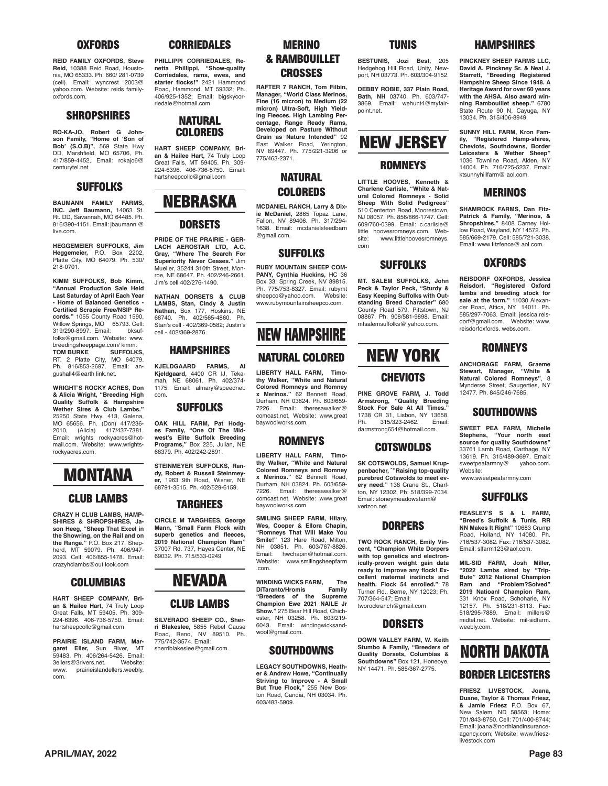#### **OXFORDS**

**REID FAMILY OXFORDS, Steve Reid,** 10388 Reid Road, Houstonia, MO 65333. Ph. 660/ 281-0739 (cell). Email: wyncrest 2003@ yahoo.com. Website: reids familyoxfords.com.

#### **SHROPSHIRES**

**RO-KA-JO, Robert G Johnson Family, "Home of 'Son of Bob' (S.O.B)",** 569 State Hwy DD, Marshfield, MO 65706, Ph. 417/859-4452, Email: rokajo6@ centurytel.net

#### **SUFFOLKS**

**BAUMANN FAMILY FARMS, INC. Jeff Baumann,** 14063 St. Rt. DD, Savannah, MO 64485. Ph. 816/390-4151. Email: jbaumann @ live.com.

**HEGGEMEIER SUFFOLKS, Jim Heggemeier,** P.O. Box 2202, Platte City, MO 64079. Ph. 530/ 218-0701.

**KIMM SUFFOLKS, Bob Kimm, "Annual Production Sale Held Last Saturday of April Each Year - Home of Balanced Genetics - Certified Scrapie Free/NSIP Records."** 1055 County Road 1590, Willow Springs, MO 65793. Cell:<br>319/290-8997. Email: bksuf-319/290-8997. Email: folks@gmail.com. Website: www. breedingsheeppage.com/ kimm.<br>TOM BURKE SUFFOLKS. **TOM BURKE SUFFOLKS,**  RT. 2 Platte City, MO 64079. Ph. 816/853-2697. Email: angushall4@earth link.net.

**WRIGHT'S ROCKY ACRES, Don & Alicia Wright, "Breeding High Quality Suffolk & Hampshire Wether Sires & Club Lambs."** 25250 State Hwy. 413, Galena, MO 65656. Ph. (Don) 417/236-<br>2010, (Alicia) 417/437-7381. 2010, (Alicia) 417/437-7381. Email: wrights rockyacres@hotmail.com. Website: www.wrightsrockyacres.com.



#### **CLUB LAMBS**

**CRAZY H CLUB LAMBS, HAMP-SHIRES & SHROPSHIRES, Jason Heeg, "Sheep That Excel in the Showring, on the Rail and on the Range."** P.O. Box 217, Shepherd, MT 59079. Ph. 406/947- 2093. Cell: 406/855-1478. Email: crazyhclambs@out look.com

#### **COLUMBIAS**

**HART SHEEP COMPANY, Brian & Hailee Hart,** 74 Truly Loop Great Falls, MT 59405. Ph. 309- 224-6396. 406-736-5750. Email: hartsheepcollc@gmail.com

**PRAIRIE iSLAND FARM, Margaret Eller,** Sun River, MT<br>59483. Ph. 406/264-5426. Email: 3ellers@3rivers.net. Website:<br>www. prairieislandellers.weebly. prairieislandellers.weebly. com.

#### **CORRIEDALES**

**PHILLIPPI CORRIEDALES, Renetta Phillippi, "Show-quality Corriedales, rams, ewes, and starter flocks!"** 2421 Hammond Road, Hammond, MT 59332; Ph. 406/925-1352; Email: bigskycorriedale@hotmail.com

#### **NATURAL COLOREDS**

**HART SHEEP COMPANY, Brian & Hailee Hart,** 74 Truly Loop Great Falls, MT 59405. Ph. 309- 224-6396. 406-736-5750. Email: hartsheepcollc@gmail.com

### **NEBRASKA DORSETS**

**PRIDE OF THE PRAIRIE - GER-LACH AEROSTAR LTD, A.C. Gray, "Where The Search For Superiority Never Ceases."** Jim Mueller, 35244 310th Street, Monroe, NE 68647. Ph. 402/246-2661. Jim's cell 402/276-1490.

**NATHAN DORSETS & CLUB LAMBS, Stan, Cindy & Justin Nathan,** Box 177, Hoskins, NE<br>68740. Ph. 402/565-4860. Ph. Stan's cell - 402/369-0582; Justin's cell - 402/369-2876.

#### **HAMPSHIRES**

**KJELDGAARD FARMS, Al Kjeldgaard,** 4400 CR IJ, Teka-mah, NE 68061. Ph. 402/374- 1175. Email: almary@speednet. com.

#### **SUFFOLKS**

**OAK HILL FARM, Pat Hodges Family, "One Of The Midwest's Elite Suffolk Breeding Programs,"** Box 225, Julian, NE 68379. Ph. 402/242-2891.

**STEINMEYER SUFFOLKS, Randy, Robert & Russell Steinmey-er,** 1963 9th Road, Wisner, NE 68791-3515. Ph. 402/529-6159.

#### **TARGHEES**

**CIRCLE M TARGHEES, George Mann, "Small Farm Flock with superb genetics and fleeces, 2019 National Champion Ram"** 37007 Rd. 737, Hayes Center, NE 69032. Ph. 715/533-0249

## **NEVADA**

#### **CLUB LAMBS**

**SILVERADO SHEEP CO., Sherri Blakeslee,** 5855 Rebel Cause Road, Reno, NV 89510. Ph. 775/742-3574. Email: sherriblakeslee@gmail.com.

#### **MERINO & RAMBOUILLET CROSSES**

**RAFTER 7 RANCH, Tom Filbin, Manager, "World Class Merinos, Fine (16 micron) to Medium (22 micron) Ultra-Soft, High Yielding Fleeces. High Lambing Percentage, Range Ready Rams, Developed on Pasture Without Grain as Nature Intended"** 92 East Walker Road, Yerington, NV 89447. Ph. 775/221-3206 or 775/463-2371.

#### **NATURAL COLOREDS**

**MCDANIEL RANCH, Larry & Dixie McDaniel,** 2865 Topaz Lane, Fallon, NV 89406. Ph. 317/294- 1638. Email: mcdanielsfeedbarn @gmail.com.

#### **SUFFOLKS**

**RUBY MOUNTAIN SHEEP COM-PANY, Cynthia Huckins,** HC 36 Box 33, Spring Creek, NV 89815. Ph. 775/753-8327. Email: rubymt sheepco@yahoo.com. Website: www.rubymountainsheepco.com.

### **NEW HAMPSHIRE NATURAL COLORED**

**LIBERTY HALL FARM, Timothy Walker, "White and Natural Colored Romneys and Romney x Merinos."** 62 Bennett Road, Durham, NH 03824. Ph. 603/659- 7226. Email: theresawalker@ comcast.net, Website: www.great baywoolworks.com.

#### **ROMNEYS**

**LIBERTY HALL FARM, Timothy Walker, "White and Natural Colored Romneys and Romney x Merinos."** 62 Bennett Road, Durham, NH 03824. Ph. 603/659- 7226. Email: theresawalker@ comcast.net, Website: www.great baywoolworks.com

**SMILING SHEEP FARM, Hilary, Wes, Cooper & Ellora Chapin, "Romneys That Will Make You Smile!"** 123 Hare Road, Milton, NH 03851. Ph. 603/767-8826. Email: hwchapin@hotmail.com. Website: www.smilingsheepfarm .com.

**WINDING WICKS FARM, The DiTaranto/Hromis "Breeders of the Supreme Champion Ewe 2021 NAILE Jr Show."** 275 Bear Hill Road, Chichester, NH 03258. Ph. 603/219- 6043. Email: windingwicksandwool@gmail.com.

#### **SOUTHDOWNS**

**LEGACY SOUTHDOWNS, Heather & Andrew Howe, "Continually Striving to Improve - A Small But True Flock,"** 255 New Boston Road, Candia, NH 03034. Ph. 603/483-5909.

#### **TUNIS**

**BESTUNIS, Jozi Best,** 205 Hedgehog Hill Road, Unity, Newport, NH 03773. Ph. 603/304-9152.

**DEBBY ROBIE, 337 Plain Road, Bath, NH** 03740. Ph. 603/747- Email: wehunt4@myfairpoint.net.

### **NEW JERSEY**

#### **ROMNEYS**

**LITTLE HOOVES, Kenneth & Charlene Carlisle, "White & Natural Colored Romneys - Solid Sheep With Solid Pedigrees"** 510 Centerton Road, Moorestown, NJ 08057. Ph. 856/866-1747. Cell: 609/760-0399. Email: c.carlisle@ little hoovesromneys.com. Web-<br>site: www.littlehoovesromneys. www.littlehoovesromneys. com

#### **SUFFOLKS**

**MT. SALEM SUFFOLKS, John Peck & Taylor Peck, "Sturdy & Easy Keeping Suffolks with Outstanding Breed Character"** 680 County Road 579, Pittstown, NJ 08867. Ph. 908/581-9898. Email: mtsalemsuffolks@ yahoo.com.

## **NEW YORK**

#### **CHEVIOTS**

**PINE GROVE FARM, J. Todd Armstrong, "Quality Breeding Stock For Sale At All Times."** 1738 CR 31, Lisbon, NY 13658. Ph. 315/323-2462. Email: darmstrong654@hotmail.com.

#### **COTSWOLDS**

**SK COTSWOLDS, Samuel Krup-penbacher, ˆ"Raising top-quality purebred Cotswolds to meet every need."** 138 Crane St., Charlton, NY 12302. Ph: 518/399-7034. Email: stoneymeadowsfarm@ verizon.net

#### **DORPERS**

**TWO ROCK RANCH, Emily Vincent, "Champion White Dorpers with top genetics and electronically-proven weight gain data ready to improve any flock! Excellent maternal instincts and health. Flock 54 enrolled."** 78 Turner Rd., Berne, NY 12023; Ph. 707/364-547; Email: tworockranch@gmail.com

#### **DORSETS**

**DOWN VALLEY FARM, W. Keith Stumbo & Family, "Breeders of Quality Dorsets, Columbias & Southdowns"** Box 121, Honeoye, NY 14471. Ph. 585/367-2775.

#### **HAMPSHIRES**

**PINCKNEY SHEEP FARMS LLC, David A. Pinckney Sr. & Neal J. Starrett, "Breeding Registered Hampshire Sheep Since 1948. A Heritage Award for over 60 years with the AHSA. Also award winning Rambouillet sheep."** 6780 State Route 90 N, Cayuga, NY 13034. Ph. 315/406-8949.

**SUNNY HILL FARM, Kron Family, "Registered Hamp-shires, Cheviots, Southdowns, Border Leicesters & Wether Sheep"** 1036 Townline Road, Alden, NY 14004. Ph. 716/725-5237. Email: ktsunnyhillfarm@ aol.com.

#### **MERINOS**

**SHAMROCK FARMS, Dan Fitz-Patrick & Family, "Merinos, & Shropshires,"** 8408 Carney Hollow Road, Wayland, NY 14572. Ph. 585/669-2179. Cell: 585/721-3038. Email: www.fitzfence@ aol.com.

#### **OXFORDS**

**REISDORF OXFORDS, Jessica Reisdorf, "Registered Oxford lambs and breeding stock for sale at the farm."** 11030 Alexander Road, Attica, NY 14011. Ph. 585/297-7063. Email: jessica.reisdorf@gmail.com. Website: www. reisdorfoxfords. webs.com.

#### **ROMNEYS**

**ANCHORAGE FARM, Graeme Stewart, Manager, "White & Natural Colored Romneys"**, 8 Mynderse Street, Saugerties, NY 12477. Ph. 845/246-7685.

#### **SOUTHDOWNS**

**SWEET PEA FARM, Michelle Stephens, "Your north east source for quality Southdowns"** 33761 Lamb Road, Carthage, NY 13619. Ph. 315/489-3697. Email: sweetpeafarmny@ yahoo.com. Website:

www.sweetpeafarmny.com

#### **SUFFOLKS**

**FEASLEY'S S & L FARM, "Breed's Suffolk & Tunis, RR NN Makes It Right"** 10683 Crump Road, Holland, NY 14080. Ph. 716/537-3082. Fax: 716/537-3082. Email: slfarm123@aol.com.

**MIL-SID FARM, Josh Miller, "2022 Lambs sired by "Trip-Bute" 2012 National Champion**  and "Problem?Solved" **2019 Natioanl Champion Ram.** 331 Knox Road, Schoharie, NY 12157. Ph. 518/231-8113. Fax: 518/295-7889. Email: millers@ midtel.net. Website: mil-sidfarm. weebly.com.



**FRIESZ LIVESTOCK, Joana, Duane, Taylor & Thomas Friesz, & Jamie Friesz** P.O. Box 67, New Salem, ND 58563; Home: 701/843-8750. Cell: 701/400-8744; Email: joana@northlandinsuranceagency.com; Website: www.frieszlivestock.com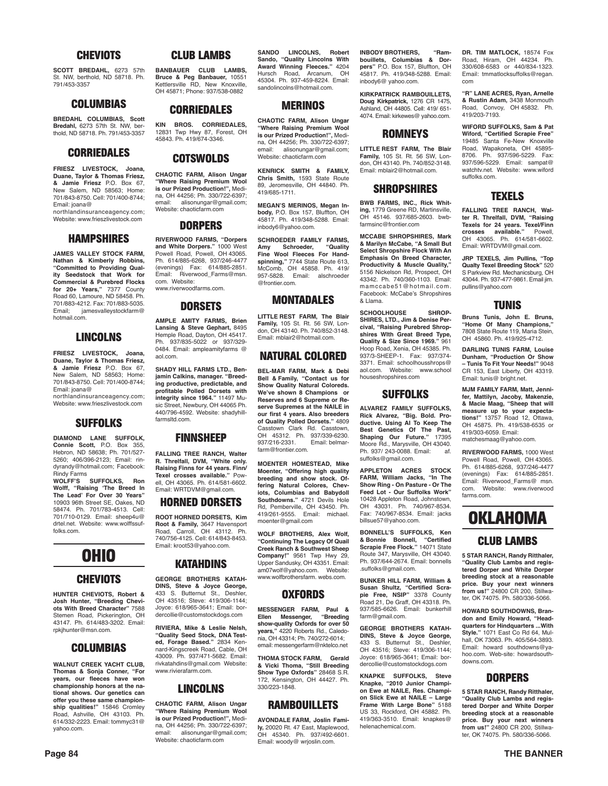#### **CHEVIOTS**

**SCOTT BREDAHL,** 6273 57th St. NW, berthold, ND 58718. Ph. 791/453-3357

#### **COLUMBIAS**

**BREDAHL COLUMBIAS, Scott Bredahl,** 6273 57th St. NW, berthold, ND 58718. Ph. 791/453-3357

#### **CORRIEDALES**

**FRIESZ LIVESTOCK, Joana, Duane, Taylor & Thomas Friesz, & Jamie Friesz** P.O. Box 67, New Salem, ND 58563; Home: 701/843-8750. Cell: 701/400-8744; Email: joana@

northlandinsuranceagency.com; Website: www.frieszlivestock.com

#### **HAMPSHIRES**

**JAMES VALLEY STOCK FARM, Nathan & Kimberly Robbins, "Committed to Providing Quality Seedstock that Work for Commercial & Purebred Flocks for 20+ Years,"** 7377 County Road 60, Lamoure, ND 58458. Ph. 701/883-4212. Fax: 701/883-5035.<br>Email: iamesyalleystockfarm@ jamesvalleystockfarm@ hotmail.com.

#### **LINCOLNS**

**FRIESZ LIVESTOCK, Joana, Duane, Taylor & Thomas Friesz, & Jamie Friesz** P.O. Box 67, New Salem, ND 58563; Home: 701/843-8750. Cell: 701/400-8744; Email: joana@

northlandinsuranceagency.com; Website: www.frieszlivestock.com

#### **SUFFOLKS**

**DIAMOND LANE SUFFOLK, Connie Scott,** P.O. Box 355, Hebron, ND 58638; Ph. 701/527- 5260; 406/396-2123; Email: rindyrandy@hotmail.com; Facebook: Rindy Farms<br>WOLFF'S SUFFOLKS Ron

**WOLFF'S SUFFOLKS, Ron Wolff, "Raising 'The Breed In The Lead' For Over 30 Years"** 10903 96th Street SE, Oakes, ND 58474. Ph. 701/783-4513. Cell: 701/710-0129. Email: sheep4u@ drtel.net. Website: www.wolffssuffolks.com.

### **OHIO**

#### **CHEVIOTS**

**HUNTER CHEVIOTS, Robert & Josh Hunter, "Breeding Chevi-ots With Breed Character"** 7588 Stemen Road, Pickerington, OH 43147. Ph. 614/483-3202. Email: rpkjhunter@msn.com.

#### **COLUMBIAS**

**WALNUT CREEK YACHT CLUB, Thomas & Sonja Conner, "For years, our fleeces have won championship honors at the national shows. Our genetics can offer you these same championship qualities!"** 15846 Cromley Road, Ashville, OH 43103. Ph. 614/332-2223. Email: tommyc31@ yahoo.com.

#### **CLUB LAMBS**

**BANBAUER CLUB LAMBS. Bruce & Peg Banbauer,** 10551 Kettlersville RD, New Knoxville, OH 45871; Phone: 937/538-0882

#### **CORRIEDALES**

**KIN BROS. CORRIEDALES,** 12831 Twp Hwy 87, Forest, OH 45843. Ph. 419/674-3346.

#### **COTSWOLDS**

**CHAOTIC FARM, Alison Ungar "Where Raising Premium Wool is our Prized Production!",** Medina, OH 44256; Ph. 330/722-6397;<br>email: alisonungar@gmail.com alisonungar@gmail.com; Website: chaoticfarm.com

#### **DORPERS**

**RIVERWOOD FARMS, "Dorpers and White Dorpers."** 1000 West Powell Road, Powell, OH 43065. Ph. 614/885-6268, 937/246-4477 (evenings) Fax: 614/885-2851. Email: Riverwood\_Farms@msn. com. Website: www.riverwoodfarms.com.

#### **DORSETS**

**AMPLE AMITY FARMS, Brien Lansing & Steve Gephart,** 8495 Hemple Road, Dayton, OH 45417. Ph. 937/835-5022 or 937/329- 0484. Email: ampleamityfarms @ aol.com.

**SHADY HILL FARMS LTD., Benjamin Calkins, manager. "Breeding productive, predictable, and profitable Polled Dorsets with integrity since 1964."** 11497 Music Street, Newbury, OH 44065 Ph. 440/796-4592. Website: shadyhillfarmsltd.com.

#### **FINNSHEEP**

**FALLING TREE RANCH, Walter R. Threlfall, DVM, "White only. Raising Finns for 44 years. Finn/ Texel crosses available."** Powell, OH 43065. Ph. 614/581-6602. Email: WRTDVM@gmail.com.

#### **HORNED DORSETS**

**ROOT HORNED DORSETS, Kim Root & Family,** 3647 Havensport Road, Carroll, OH 43112. Ph. 740/756-4125. Cell: 614/843-8453. Email: kroot53@yahoo.com.

### **KATAHDINS**

**GEORGE BROTHERS KATAH-DINS, Steve & Joyce George,** 433 S. Butternut St., Deshler OH 43516; Steve: 419/306-1144; Joyce: 618/965-3641; Email: bordercollie@customstockdogs.com

**RIVIERA, Mike & Leslie Nelsh, "Quality Seed Stock, DNA Tested, Forage Based."** 2834 Kennard-Kingscreek Road, Cable, OH 43009. Ph. 937/471-5682. Email: rivkatahdins@gmail.com Website: www.rivierafarm.com.

#### **LINCOLNS**

**CHAOTIC FARM, Alison Ungar "Where Raising Premium Wool is our Prized Production!",** Medina, OH 44256; Ph. 330/722-6397; email: alisonungar@gmail.com; Website: chaoticfarm.com

**SANDO LINCOLNS, Robert Sando, "Quality Lincolns With Award Winning Fleeces."** 4204 Hursch Road, Arcanum, OH 45304. Ph. 937-459-8224. Email: sandolincolns@hotmail.com.

#### **MERINOS**

**CHAOTIC FARM, Alison Ungar "Where Raising Premium Wool is our Prized Production!",** Medina, OH 44256; Ph. 330/722-6397; email: alisonungar@gmail.com; Website: chaoticfarm.com

**KENRICK SMITH & FAMILY, Chris Smith,** 1593 State Route 89, Jeromesville, OH 44840. Ph. 419/685-1711.

**MEGAN'S MERINOS, Megan Inbody,** P.O. Box 157, Bluffton, OH 45817. Ph. 419/348-5288. Email: inbody6@yahoo.com.

**SCHROEDER FAMILY FARMS, Amy** Schroeder,<br>Fine Wool Fleeces **Wool Fleeces For Handspinning,"** 7744 State Route 613, McComb, OH 45858. Ph. 419/ 957-5828. Email: alschroeder @frontier.com.

#### **MONTADALES**

**LITTLE REST FARM, The Blair Family,** 105 St. Rt. 56 SW, Lon-don, OH 43140. Ph. 740/852-3148.

#### Email: mblair2@hotmail.com. **NATURAL COLORED**

**BEL-MAR FARM, Mark & Debi Bell & Family, "Contact us for Show Quality Natural Coloreds. We've shown 8 Champions or Reserves and 6 Supreme or Reserve Supremes at the NAILE in our first 4 years. Also breeders of Quality Polled Dorsets."** 4809 Casstown Clark Rd. Casstown, OH 45312. Ph. 937/339-6230.<br>937/216-2331. Email: belmar-937/216-2331. farm@frontier.com

**MOENTER HOMESTEAD, Mike Moenter, "Offering high quality breeding and show stock. Of-fering Natural Colores, Cheviots, Columbias and Babydoll Southdowns."** 4721 Devils Hole Rd, Pemberville, OH 43450. Ph. 419/261-9555. Email: michael. moenter@gmail.com

**WOLF BROTHERS, Alex Wolf, "Continuing The Legacy Of Quail Creek Ranch & Southwest Sheep Company!"** 9561 Twp Hwy 29, Upper Sandusky, OH 43351. Email: am07wolf@yahoo.com. Website: www.wolfbrothersfarm. webs.com.

#### **OXFORDS**

**MESSENGER FARM, Paul & Ellen Messenger, "Breeding show-quality Oxfords for over 50 years,"** 4220 Roberts Rd., Caledonia, OH 43314; Ph. 740/272-6014; email: messengerfarm@nktelco.net

**THOMA STOCK FARM, Gerald & Vicki Thoma, "Still Breeding Show Type Oxfords"** 28468 S.R. 172, Kensington, OH 44427. Ph. 330/223-1848.

#### **RAMBOUILLETS**

**AVONDALE FARM, Joslin Family,** 20020 Rt. 47 East, Maplewood, OH 45340. Ph. 937/492-6601. Email: woody@ wrjoslin.com.

**INBODY BROTHERS, "Rambouillets, Columbias & Dorpers"** P.O. Box 157, Bluffton, OH 45817. Ph. 419/348-5288. Email: inbody6@ yahoo.com.

**KIRKPATRICK RAMBOUILLETS, Doug Kirkpatrick,** 1276 CR 1475, Ashland, OH 44805. Cell: 419/ 651- 4074. Email: kirkewes@ yahoo.com.

#### **ROMNEYS**

**LITTLE REST FARM, The Blair Family,** 105 St. Rt. 56 SW, London, OH 43140. Ph. 740/852-3148. Email: mblair2@hotmail.com.

#### **SHROPSHIRES**

**BWB FARMS, INC., Rick Whiting,** 1779 Greene RD, Martinsville, OH 45146. 937/685-2603. bwbfarmsing@frontier.com

**MCCABE SHROPSHIRES, Mark & Marilyn McCabe, "A Small But Select Shropshire Flock With An Emphasis On Breed Character, Productivity & Muscle Quality,"**  5156 Nickelson Rd, Prospect, OH 43342. Ph. 740/360-1103. Email: mamccabe51@hotmail.com. Facebook: McCabe's Shropshires & Llama.

**SCHOOLHOUSE SHROP-SHIRES, LTD., Jim & Denise Percival, "Raising Purebred Shropshires WIth Great Breed Type, Quality & Size Since 1969."** 961 Hoop Road, Xenia, OH 45385. Ph. 937/3-SHEEP-1. Fax: 937/374- 3371. Email: schoolhousshrops@ aol.com. Website: www.school houseshropshires.com

#### **SUFFOLKS**

**ALVAREZ FAMILY SUFFOLKS, Rick Alvarez, "Big. Bold. Productive. Using AI To Keep The Best Genetics Of The Past, Shaping Our Future."** 17395 Moore Rd., Marysville, OH 43040. Ph. 937/ 243-0088. Email: af. suffolks@gmail.com.

**APPLETON ACRES STOCK FARM, William Jacks, "In The Show Ring - On Pasture - Or The Feed Lot - Our Suffolks Work"**  10428 Appleton Road, Johnstown, OH 43031. Ph. 740/967-8534. Fax: 740/967-8534. Email: jacks billsue57@yahoo.com.

**BONNELL'S SUFFOLKS, Ken & Bonnie Bonnell, "Certified Scrapie Free Flock."** 14071 State Route 347, Marysville, OH 43040. Ph. 937/644-2674. Email: bonnells .suffolks@gmail.com.

**BUNKER HILL FARM, William & Susan Shultz, "Certified Scra-pie Free, NSIP"** 3378 County Road 21, De Graff, OH 43318. Ph. 937/585-6626. Email: bunkerhill farm@gmail.com.

**GEORGE BROTHERS KATAH-DINS, Steve & Joyce George,** 433 S. Butternut St., Deshler, OH 43516; Steve: 419/306-1144; Joyce: 618/965-3641; Email: bordercollie@customstockdogs.com

**KNAPKE SUFFOLKS, Steve Knapke, "2010 Junior Champion Ewe at NAILE, Res. Champion Slick Ewe at NAILE – Large Frame With Large Bone"** 5188 US 33, Rockford, OH 45882. Ph. 419/363-3510. Email: knapkes@ helenachemical.com.

**DR. TIM MATLOCK,** 18574 Fox Road, Hiram, OH 44234. Ph. 330/608-6583 or 440/834-1323. Email: tmmatlocksuffolks@regan. com

**"R" LANE ACRES, Ryan, Arnelle & Rustin Adam,** 3438 Monmouth Road, Convoy, OH 45832. Ph. 419/203-7193.

**WIFORD SUFFOLKS, Sam & Pat Wiford, "Certified Scrapie Free"**  19485 Santa Fe-New Knoxville Road, Wapakoneta, OH 45895- 8706. Ph. 937/596-5229. Fax: 937/596-5229. Email: sampat@ watchtv.net. Website: www.wiford suffolks.com.

#### **TEXELS**

**FALLING TREE RANCH, Walter R. Threlfall, DVM, "Raising Texels for 24 years. Texel/Finn**  crosses available." OH 43065. Ph. 614/581-6602. Email: WRTDVM@gmail.com.

**JRP TEXELS, Jim Pullins, "Top Qualty Texel Breeding Stock"** 520 S Parkview Rd. Mechanicsburg, OH 43044. Ph. 937-477-9861. Email jim. pullins@yahoo.com

#### **TUNIS**

**Bruns Tunis, John E. Bruns, "Home Of Many Champions,"** 7808 State Route 119, Maria Stein, OH 45860. Ph. 419/925-4712.

**DARLING TUNIS FARM, Louise Dunham, "Production Or Show – Tunis To Fit Your Needs!"** 9048 CR 153, East Liberty, OH 43319. Email: tunis@ bright.net.

**MJM FAMILY FARM, Matt, Jennifer, Mattilyn, Jacoby, Makenzie, & Macie Maag, "Sheep that will measure up to your expectations!"** 13757 Road 12, Ottawa, OH 45875. Ph. 419/538-6535 or 419/303-6059. Email: matchesmaag@yahoo.com.

**RIVERWOOD FARMS,** 1000 West Powell Road, Powell, OH 43065. Ph. 614/885-6268, 937/246-4477 (evenings) Fax: 614/885-2851. Email: Riverwood\_Farms@ msn. com. Website: www.riverwood farms.com.

### **OKLAHOMA**

#### **CLUB LAMBS**

**5 STAR RANCH, Randy Ritthaler, "Quality Club Lambs and registered Dorper and White Dorper breeding stock at a reasonable price. Buy your next winners from us!"** 24800 CR 200, Stillwater, OK 74075. Ph. 580/336-5066.

**HOWARD SOUTHDOWNS, Brandon and Emily Howard, "Headquarters for Hindquarters ...With Style."** 1071 East Co Rd 64, Mulhall, OK 73063. Ph. 405/564-3893. Email: howard southdowns@yahoo.com. Web-site: howardsouthdowns.com.

#### **DORPERS**

**5 STAR RANCH, Randy Ritthaler, "Quality Club Lambs and registered Dorper and White Dorper breeding stock at a reasonable price. Buy your next winners from us!"** 24800 CR 200, Stillwater, OK 74075. Ph. 580/336-5066.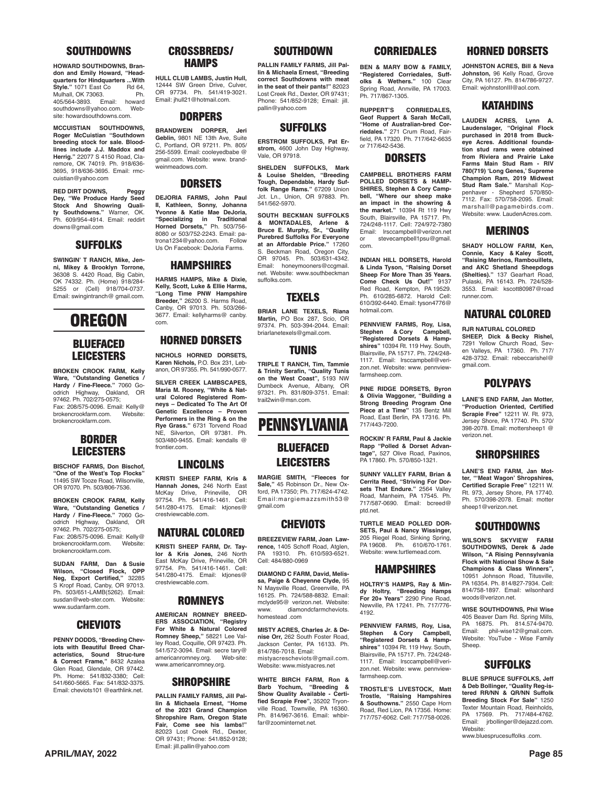#### **SOUTHDOWNS**

**HOWARD SOUTHDOWNS, Brandon and Emily Howard, "Headquarters for Hindquarters ...With <br>Style."** 1071 East Co Rd 64. **Style."** 1071 East Co Rd 64,<br>Mulhall, OK 73063. Ph. Mulhall, OK 73063. Ph.<br>405/564-3893. Email: howard 405/564-3893. Email: howard southdowns@yahoo.com. Website: howardsouthdowns.com.

**MCCUISTIAN SOUTHDOWNS, Roger McCuistian "Southdown breeding stock for sale. Bloodlines include J.J. Maddox and Herrig."** 22077 S 4150 Road, Claremore, OK 74019. Ph. 918/636- 3695, 918/636-3695. Email: rmccuistian@yahoo.com

**RED DIRT DOWNS, Peggy Dey, "We Produce Hardy Seed Stock And Showring Quality Southdowns."** Warner, OK. Ph. 609/954-4914. Email: reddirt downs@gmail.com

#### **SUFFOLKS**

**SWINGIN' T RANCH, Mike, Jenni, Mikey & Brooklyn Torrone,** 36308 S. 4420 Road, Big Cabin, OK 74332. Ph. (Home) 918/284- 5255 or (Cell) 918/704-0737. Email: swingintranch@ gmail.com.

### **OREGON**

#### **BLUEFACED LEICESTERS**

**BROKEN CROOK FARM, Kelly Ware, "Outstanding Genetics / Hardy / Fine-Fleece."** 7060 Goodrich Highway, Oakland, OR 97462. Ph. 702/275-0575; Fax: 208/575-0096. Email: Kelly@ brokencrookfarm.com. brokencrookfarm.com.

#### **BORDER LEICESTERS**

**BISCHOF FARMS, Don Bischof, "One of the West's Top Flocks"**  11495 SW Tooze Road, Wilsonville, OR 97070. Ph. 503/806-7536.

**BROKEN CROOK FARM, Kelly Ware, "Outstanding Genetics / Hardy / Fine-Fleece."** 7060 Goodrich Highway, Oakland, OR 97462. Ph. 702/275-0575; Fax: 208/575-0096. Email: Kelly@<br>brokencrookfarm.com. Website: brokencrookfarm.com. brokencrookfarm.com.

**SUDAN FARM, Dan & Susie Wilson, "Closed Flock, OPP Neg, Export Certified,"** 32285 S Kropf Road, Canby, OR 97013. Ph. 503/651-LAMB(5262). Email: susdan@web-ster.com. www.sudanfarm.com.

#### **CHEVIOTS**

**PENNY DODDS, "Breeding Cheviots with Beautiful Breed Characteristics, Sound Struc-ture & Correct Frame,"** 8432 Azalea Glen Road, Glendale, OR 97442. Ph. Home: 541/832-3380; Cell: 541/660-5665. Fax: 541/832-3375. Email: cheviots101 @earthlink.net.

#### **CROSSBREDS/ HAMPS**

**HULL CLUB LAMBS, Justin Hull,**  12444 SW Green Drive, Culver, OR 97734. Ph. 541/419-3021. Email: jhull21@hotmail.com.

#### **DORPERS**

**BRANDWEIN DORPER, Jeri Geblin,** 9801 NE 13th Ave, Suite C, Portland, OR 97211. Ph. 805/ 256-5599. Email: cooleyedbabe @ gmail.com. Website: www. brandweinmeadows.com.

#### **DORSETS**

**DEJORIA FARMS, John Paul II, Kathleen, Sonny, Johanna Yvonne & Katie Mae DeJoria, "Specializing in Traditional Horned Dorsets,"** Ph. 503/756- 161164 Borocco, 111. 666766<br>8080 or 503/752-2243. Email: patrona1234@yahoo.com. Us On Facebook: DeJoria Farms.

### **HAMPSHIRES**

**HARMS HAMPS, Mike & Dixie, Kelly, Scott, Luke & Ellie Harms, "Long Time PNW Hampshire Breeder,"** 26200 S. Harms Road, Canby, OR 97013. Ph. 503/266- 3677. Email: kellyharms@ canby. com.

#### **HORNED DORSETS**

**NICHOLS HORNED DORSETS, Karen Nichols,** P.O. Box 231, Lebanon, OR 97355. Ph. 541/990-0577.

**SILVER CREEK LAMBSCAPES, Maria M. Rooney, "White & Natural Colored Registered Romneys – Dedicated To The Art Of Genetic Excellence – Proven Performers in the Ring & on the Rye Grass."** 6731 Torvend Road NE, Silverton, OR 97381. Ph. 503/480-9455. Email: kendalls @ frontier.com

#### **LINCOLNS**

**KRISTI SHEEP FARM, Kris & Hannah Jones,** 246 North East Prineville, 97754. Ph. 541/416-1461. Cell: 541/280-4175. Email: ktjones@ crestviewcable.com.

#### **NATURAL COLORED**

**KRISTI SHEEP FARM, Dr. Taylor & Kris Jones,** 246 North East McKay Drive, Prineville, OR 97754. Ph. 541/416-1461. Cell: 541/280-4175. Email: ktjones@ crestviewcable.com.

#### **ROMNEYS**

**AMERICAN ROMNEY BREED-ERS ASSOCIATION, "Registry For White & Natural Colored Romney Sheep,"** 58221 Lee Valley Road, Coquille, OR 97423. Ph. 541/572-3094. Email: secre tary@ americanromney.org. Web-site: www.americanromney.org.

#### **SHROPSHIRE**

**PALLIN FAMILY FARMS, Jill Pallin & Michaela Ernest, "Home of the 2021 Grand Champion Shropshire Ram, Oregon State Fair, Come see his lambs!"** 82023 Lost Creek Rd., Dexter, OR 97431; Phone: 541/852-9128; Email: jill.pallin@yahoo.com

#### **SOUTHDOWN**

**PALLIN FAMILY FARMS, Jill Pallin & Michaela Ernest, "Breeding correct Southdowns with meat in the seat of their pants!"** 82023 Lost Creek Rd., Dexter, OR 97431; Phone: 541/852-9128; Email: jill. pallin@yahoo.com

#### **SUFFOLKS**

**ERSTROM SUFFOLKS, Pat Erstrom,** 4600 John Day Highway, Vale, OR 97918.

**SHELDEN SUFFOLKS, Mark & Louise Shelden, "Breeding Tough, Dependable, Hardy Suffolk Range Rams."** 67209 Union Jct. Ln., Union, OR 97883. Ph. 541/562-5970.

**SOUTH BECKMAN SUFFOLKS & MONTADALES, Arlene & Bruce E. Murphy, Sr., "Quality Purebred Suffolks For Everyone at an Affordable Price."** 17260 S. Beckman Road, Oregon City, OR 97045. Ph. 503/631-4342. Email: honeymooners@ccgmail. net. Website: www.southbeckman suffolks.com.

#### **TEXELS**

**BRIAR LANE TEXELS, Riana Martin,** PO Box 287, Scio, OR<br>97374. Ph. 503-394-2044. Email: briarlanetexels@gmail.com.

#### **TUNIS**

**TRIPLE T RANCH, Tim, Tammie & Trinity Serafin, "Quality Tunis on the West Coast",** 5193 NW Dumbeck Avenue, Albany, OR 97321. Ph. 831/809-3751. Email: trail2win@msn.com.

### **PENNSYLVANIA**

#### **BLUEFACED LEICESTERS**

**MARGIE SMITH, "Fleeces for Sale,"** 45 Robinson Dr., New Oxford, PA 17350; Ph. 717/624-4742. Email:margiemazzsmith53@ gmail.com

#### **CHEVIOTS**

**BREEZEVIEW FARM, Joan Lawrence,** 1405 Schoff Road, Atglen, PA 19310. Ph. 610/593-6521. Cell: 484/880-0969

**DIAMOND C FARM, David, Melissa, Paige & Cheyenne Clyde,** 95 N Maysville Road, Greenville, PA 16125. Ph. 724/588-8832. Email: mclyde95@ verizon.net. Website: diamondcfarmcheviots homestead .com

**MISTY ACRES, Charles Jr. & Denise Orr,** 262 South Foster Road, Jackson Center, PA 16133. Ph. 814/786-7018. Email: mistyacrescheviots@gmail.com. Website: www.mistyacres.net

**WHITE BIRCH FARM, Ron & Barb Yochum, "Breeding & Show Quality Available - Certified Scrapie Free",** 35202 Tryonville Road, Townville, PA 16360. Ph. 814/967-3616. Email: whbirfar@zoominternet.net.

#### **CORRIEDALES**

**BEN & MARY BOW & FAMILY, "Registered Corriedales, Suffolks & Wethers."** 100 Clear Spring Road, Annville, PA 17003. Ph. 717/867-1305.

**RUPPERT'S CORRIEDALES, Geof Ruppert & Sarah McCall, "Home of Australian-bred Corriedales."** 271 Crum Road, Fairfield, PA 17320. Ph. 717/642-6635 or 717/642-5436.

#### **DORSETS**

**CAMPBELL BROTHERS FARM POLLED DORSETS & HAMP-SHIRES, Stephen & Cory Campbell, "Where our sheep make an impact in the showring & the market."** 10394 Rt 119 Hwy South, Blairsville, PA 15717. Ph. 724/248-1117. Cell: 724/972-7380 Email: lrsccampbell@verizon.net or stevecampbell1psu@gmail. com.

**INDIAN HILL DORSETS, Harold & Linda Tyson, "Raising Dorset Sheep For More Than 35 Years. Come Check Us Out!"** 9137 Red Road, Kempton, PA 19529. Ph. 610/285-6872. Harold Cell: 610/392-6440. Email: tyson4776@ hotmail.com.

**PENNVIEW FARMS, Roy, Lisa, Stephen & Cory Campbell, "Registered Dorsets & Hampshires"** 10394 Rt. 119 Hwy. South, Blairsville, PA 15717. Ph. 724/248- 1117. Email: lrsccampbell@verizon.net. Website: www. pennviewfarmsheep.com.

**PINE RIDGE DORSETS, Byron & Olivia Waggoner, "Building a Strong Breeding Program One Piece at a Time"** 135 Bentz Mill Road, East Berlin, PA 17316. Ph. 717/443-7200.

**ROCKIN' R FARM, Paul & Jackie Rapp "Polled & Dorset Advan-tage",** 527 Olive Road, Paxinos, PA 17860. Ph. 570/850-1321.

**SUNNY VALLEY FARM, Brian & Cerrita Reed, "Striving For Dorsets That Endure."** 2564 Valley Road, Manheim, PA 17545. Ph. 717/587-0690. Email: bcreed@ ptd.net.

**TURTLE MEAD POLLED DOR-SETS, Paul & Nancy Wissinger,**  205 Riegel Road, Sinking Spring, PA 19608. Ph. 610/670-1761. Website: www.turtlemead.com.

#### **HAMPSHIRES**

**HOLTRY'S HAMPS, Ray & Mindy Holtry, "Breeding Hamps For 20+ Years"** 2290 Pine Road, Newville, PA 17241. Ph. 717/776- 4192.

**PENNVIEW FARMS, Roy, Lisa, Stephen & Cory Campbell, "Registered Dorsets & Hampshires"** 10394 Rt. 119 Hwy. South, Blairsville, PA 15717. Ph. 724/248- 1117. Email: lrsccampbell@verizon.net. Website: www. pennviewfarmsheep.com.

**TROSTLE'S LIVESTOCK, Matt Trostle, "Raising Hampshires & Southowns."** 2550 Cape Horn Road, Red Lion, PA 17356. Home: 717/757-6062. Cell: 717/758-0026.

#### **HORNED DORSETS**

**JOHNSTON ACRES, Bill & Neva Johnston,** 96 Kelly Road, Grove City, PA 16127. Ph. 814/786-9727. Email: wjohnstonIII@aol.com.

#### **KATAHDINS**

**LAUDEN ACRES, Lynn A. Laudenslager, "Original Flock purchased in 2018 from Buckeye Acres. Additional foundation stud rams were obtained from Riviera and Prairie Lake Farms Main Stud Ram - RIV 780(719) 'Long Genes,' Supreme Champion Ram, 2019 Midwest Stud Ram Sale."** Marshall Koppenhaver - Shepherd 570/850- 7112. Fax: 570/758-2095. Email: marshall@pagamebirds.com. Website: www. LaudenAcres.com

#### **MERINOS**

**SHADY HOLLOW FARM, Ken, Connie, Kacy & Kaley Scott, "Raising Merinos, Rambouillets, and AKC Shetland Sheepdogs (Shelties)."** 137 Gearhart Road, Pulaski, PA 16143. Ph. 724/528- 3553. Email: kscott80987@road runner.com.

#### **NATURAL COLORED**

**RJR NATURAL COLORED SHEEP, Dick & Becky Rishel,** 7291 Yellow Church Road, Seven Valleys, PA 17360. Ph. 717/ 428-3732. Email: rebeccarishel@ gmail.com.

#### **POLYPAYS**

**LANE'S END FARM, Jan Motter, "Production Oriented, Certified Scrapie Free"** 12211 W. Rt. 973, Jersey Shore, PA 17740. Ph. 570/ 398-2078. Email: mottersheep1 @ verizon.net.

#### **SHROPSHIRES**

**LANE'S END FARM, Jan Motter, "'Meat Wagon' Shropshires, Certified Scrapie Free"** 12211 W. Rt. 973, Jersey Shore, PA 17740. Ph. 570/398-2078. Email: motter sheep1@verizon.net

#### **SOUTHDOWNS**

**WILSON'S SKYVIEW FARM SOUTHDOWNS, Derek & Jade Wilson, "A Rising Pennsylvania Flock with National Show & Sale Champions & Class Winners",** 10951 Johnson Road, Titusville, PA 16354. Ph. 814/827-7934. Cell: 814/758-1897. Email: wilsonhard woods@verizon.net.

**WISE SOUTHDOWNS, Phil Wise** 405 Beaver Dam Rd. Spring Mills, Ph. 814.574-9470. Email: phil-wise12@gmail.com. Website: YouTube - Wise Family Sheep.

#### **SUFFOLKS**

**BLUE SPRUCE SUFFOLKS, Jeff & Deb Bollinger, "Quality Reg-is-tered RR/NN & QR/NN Suffolk Breeding Stock For Sale" 1250**<br>Texter Mountain Road, Reinholds, Tountain Road, Reinholds, PA 17569. Ph. 717/484-4762. Email: jrbollinger@dejazzd.com. Website: www.bluesprucesuffolks .com.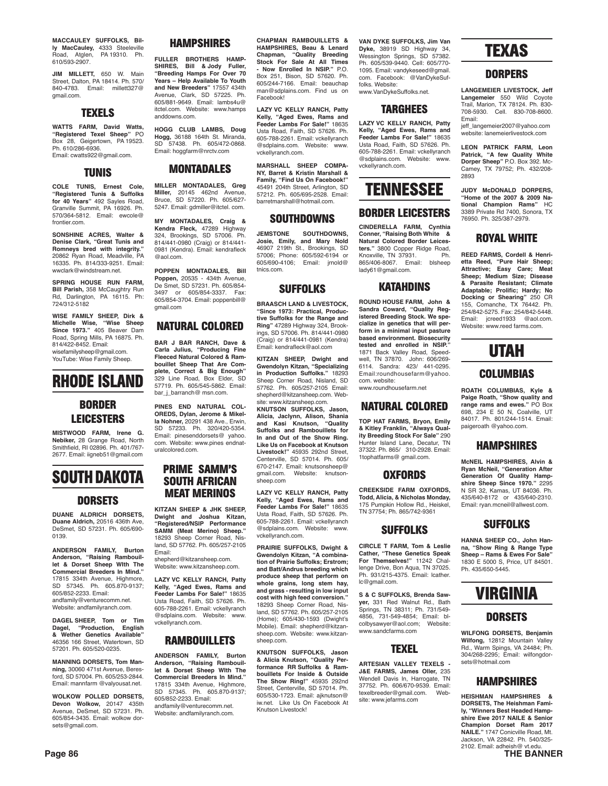**MACCAULEY SUFFOLKS, Billy MacCauley,** 4333 Steeleville Road, Atglen, PA 19310. Ph. 610/593-2907.

**JIM MILLETT,** 650 W. Main Street, Dalton, PA 18414. Ph. 570/ 840-4783. Email: millett327@ gmail.com.

#### **TEXELS**

**WATTS FARM, David Watts, "Registered Texel Sheep"** PO 28, Geigertown, PA 19523. Ph. 610/286-6936. Email: cwatts922@gmail.com.

#### **TUNIS**

**COLE TUNIS, Ernest Cole, "Registered Tunis & Suffolks for 40 Years"** 492 Sayles Road, Granville Summit, PA 16926. Ph. 570/364-5812. Email: ewcole@ frontier.com.

**SONSHINE ACRES, Walter & Denise Clark, "Great Tunis and Romneys bred with integrity."** 20862 Ryan Road, Meadville, PA 16335. Ph. 814/333-9251. Email: wwclark@windstream.net.

**SPRING HOUSE RUN FARM, Bill Parish,** 358 McCaughtry Run Rd, Darlington, PA 16115. Ph: 724/312-5182

**WISE FAMILY SHEEP, Dirk & Michelle Wise, "Wise Sheep Since 1973."** 405 Beaver Dam Road, Spring Mills, PA 16875. Ph. 814/422-8452. Email: wisefamilysheep@gmail.com. YouTube: Wise Family Sheep.

### **RHODE ISLAND**

#### **BORDER LEICESTERS**

**MISTWOOD FARM, Irene G. Nebiker,** 28 Grange Road, North Smithfield, RI 02896. Ph. 401/767- 2677. Email: iigneb51@gmail.com



#### **DORSETS**

**DUANE ALDRICH DORSETS, Duane Aldrich,** 20516 436th Ave, DeSmet, SD 57231. Ph. 605/690- 0139.

**ANDERSON FAMILY, Burton Anderson, "Raising Rambouil-let & Dorset Sheep WIth The Commercial Breeders In Mind."** 17815 334th Avenue, Highmore, SD 57345. Ph. 605.870-9137; 605/852-2233. Email: andfamily@venturecomm.net. Website: andfamilyranch.com.

**DAGEL SHEEP, Tom or Tim Dagel, "Production, English & Wether Genetics Available"** 46356 166 Street, Watertown, SD 57201. Ph. 605/520-0235.

**MANNING DORSETS, Tom Manning,** 30060 471st Avenue, Beresford, SD 57004. Ph. 605/253-2844. Email: mannfarm @valyousat.net.

**WOLKOW POLLED DORSETS, Devon Wolkow,** 20147 435th Avenue, DeSmet, SD 57231. Ph. 605/854-3435. Email: wolkow dorsets@gmail.com.

#### **HAMPSHIRES**

**FULLER BROTHERS HAMP-SHIRES, Bill & Jody Fuller, "Breeding Hamps For Over 70 Years – Help Available To Youth and New Breeders"** 17557 434th Avenue, Clark, SD 57225. Ph. 605/881-9649. Email: lambs4u@ itctel.com. Website: www.hamps anddowns.com.

**HOGG CLUB LAMBS, Doug Hogg,** 36188 164th St. Miranda, 57438. Ph. 605/472-0868. Email: hoggfarm@nrctv.com

#### **MONTADALES**

**MILLER MONTADALES, Greg Miller,** 20145 462nd Avenue, Bruce, SD 57220. Ph. 605/627- 5247. Email: gdmiller@itctel. com.

**MY MONTADALES, Craig & Kendra Fleck,** 47289 Highway 324, Brookings, SD 57006. Ph. 814/441-0980 (Craig) or 814/441- 0981 (Kendra). Email: kendrafleck @aol.com.

**POPPEN MONTADALES, Bill Poppen,** 20535 - 434th Avenue, De Smet, SD 57231. Ph. 605/854- 3497 or 605/854-3337. Fax: 605/854-3704. Email: poppenbill@ gmail.com

### **NATURAL COLORED**

**BAR J BAR RANCH, Dave & Carla Julius, "Producing Fine Fleeced Natural Colored & Rambouillet Sheep That Are Complete, Correct & Big Enough"** 329 Line Road, Box Elder, SD 57719. Ph. 605/545-5862. Email: bar\_j\_barranch@ msn.com.

**PINES END NATURAL COL-OREDS, Dylan, Jerome & Mikella Nohner,** 20291 438 Ave., Erwin, SD 57233. Ph. 320/420-5354. Email: pinesenddorsets@ yahoo. com. Website: www.pines endnaturalcolored.com.

#### **PRIME SAMM'S SOUTH AFRICAN MEAT MERINOS**

**KITZAN SHEEP & JHK SHEEP, Dwight and Joshua Kitzan, "Registered/NSIP Performance**  SAMM (Meat Merino) Sheep. 18293 Sheep Corner Road, Nisland, SD 57762. Ph. 605/257-2105 Email:

shepherd@kitzansheep.com. Website: www.kitzansheep.com.

**LAZY VC KELLY RANCH, Patty Kelly, "Aged Ewes, Rams and Feeder Lambs For Sale!"** 18635 Usta Road, Faith, SD 57626. Ph. 605-788-2261. Email: vckellyranch @sdplains.com. Website: www. vckellyranch.com.

#### **RAMBOUILLETS**

**ANDERSON FAMILY, Burton Anderson, "Raising Rambouillet & Dorset Sheep WIth The Commercial Breeders In Mind."** 17815 334th Avenue, Highmore, SD 57345. Ph. 605.870-9137; 605/852-2233. Email: andfamily@venturecomm.net. Website: andfamilyranch.com.

**CHAPMAN RAMBOUILLETS & HAMPSHIRES, Beau & Lenard Chapman, "Quality Breeding Stock For Sale At All Times - Now Enrolled In NSIP."** P.O. Box 251, Bison, SD 57620. Ph. 605/244-7166. Email: beauchap man@sdplains.com. Find us on **Facebook!** 

**LAZY VC KELLY RANCH, Patty Kelly, "Aged Ewes, Rams and Feeder Lambs For Sale!"** 18635 Usta Road, Faith, SD 57626. Ph. 605-788-2261. Email: vckellyranch @sdplains.com. Website: www. vckellyranch.com.

**MARSHALL SHEEP COMPA-NY, Barret & Kristin Marshall & Family, "Find Us On Facebook!"** 45491 204th Street, Arlington, SD 57212. Ph. 605/695-2528. Email: barretmarshall@hotmail.com.

#### **SOUTHDOWNS**

**JEMSTONE SOUTHDOWNS, Josie, Emily, and Mary Nold** 46907 219th St., Brookings, SD 57006; Phone: 605/592-6194 or 605/690-4106; Email: jrnold@ tnics.com.

#### **SUFFOLKS**

**BRAASCH LAND & LIVESTOCK, "Since 1973: Practical, Productive Suffolks for the Range and Ring"** 47289 Highway 324, Brookings, SD 57006. Ph. 814/441-0980 (Craig) or 814/441-0981 (Kendra) Email: kendrafleck@aol.com

**KITZAN SHEEP, Dwight and Gwendolyn Kitzan, "Specializing in Production Suffolks."** 18293 Sheep Corner Road, Nisland, SD 57762. Ph. 605/257-2105 Email: shepherd@kitzansheep.com. Website: www.kitzansheep.com. **KNUTSON SUFFOLKS, Jason,** 

**Alicia, Jaclynn, Alison, Shania and Kasi Knutson, "Quality Suffolks and Rambouillets for In and Out of the Show Ring. Like Us on Facebook at Knutson Livestock!"** 45935 292nd Street, Centerville, SD 57014. Ph. 605/ 670-2147. Email: knutsonsheep@ gmail.com. Website: knutsonsheep.com

**LAZY VC KELLY RANCH, Patty Kelly, "Aged Ewes, Rams and Feeder Lambs For Sale!"** 18635 Usta Road, Faith, SD 57626. Ph. 605-788-2261. Email: vckellyranch @sdplains.com. Website: www. vckellyranch.com.

**PRAIRIE SUFFOLKS, Dwight & Gwendolyn Kitzan, "A combina-tion of Prairie Suffolks; Erstrom; and Batt/Andrus breeding which produce sheep that perform on whole grains, long stem hay, and grass - resulting in low input cost with high feed conversion."** 18293 Sheep Corner Road, Nisland, SD 57762. Ph. 605/257-2105 (Home); 605/430-1593 (Dwight's Mobile). Email: shepherd@kitzansheep.com. Website: www.kitzansheep.com.

**KNUTSON SUFFOLKS, Jason & Alicia Knutson, "Quality Performance RR Suffolks & Rambouillets For Inside & Outside The Show Ring!"** 45935 292nd Street, Centerville, SD 57014. Ph. 605/530-1723. Email: ajknutson@ iw.net. Like Us On Facebook At Knutson Livestock!

**VAN DYKE SUFFOLKS, Jim Van Dyke,** 38919 SD Highway 34, Wessington Springs, SD 57382. Ph. 605/539-9440. Cell: 605/770- 1095. Email: vandykeseed@gmail. com. Facebook: @VanDykeSuffolks. Website: www.VanDykeSuffolks.net.

#### **TARGHEES**

**LAZY VC KELLY RANCH, Patty Kelly, "Aged Ewes, Rams and Feeder Lambs For Sale!"** 18635 Usta Road, Faith, SD 57626. Ph. 605-788-2261. Email: vckellyranch @sdplains.com. Website: www. vckellyranch.com.



#### **BORDER LEICESTERS**

**CINDERELLA FARM, Cynthia Conner, "Raising Both White & Natural Colored Border Leicesters."** 3800 Copper Ridge Road,<br>Knoxville TN 37931 Ph Knoxville, TN 37931. Ph.<br>865/406-8067. Email: blsheep 865/406-8067. Email: lady61@gmail.com.

#### **KATAHDINS**

**ROUND HOUSE FARM, John & Sandra Coward, "Quality Reg-istered Breeding Stock. We specialize in genetics that will perform in a minimal input pasture based environment. Biosecurity tested and enrolled in NSIP."** 1871 Back Valley Road, Speedwell, TN 37870. John: 606/269- 6114. Sandra: 423/ 441-0295. Email:roundhousefarm@yahoo. com. website: www.roundhousefarm.net

#### **NATURAL COLORED**

**TOP HAT FARMS, Bryon, Emily & Kitley Franklin, "Always Quality Breeding Stock For Sale"** 290 Hunter Island Lane, Decatur, TN 37322. Ph. 865/ 310-2928. Email: 1tophatfarms@ gmail.com.

#### **OXFORDS**

**CREEKSIDE FARM OXFORDS, Todd, Alicia, & Nicholas Monday,** 175 Pumpkin Hollow Rd., Heiskel, TN 37754; Ph. 865/742-9361

#### **SUFFOLKS**

**CIRCLE T FARM, Tom & Leslie Cather, "These Genetics Speak For Themselves!"** 11242 Challenge Drive, Bon Aqua, TN 37025. Ph. 931/215-4375. Email: lcather. lc@gmail.com.

**S & C SUFFOLKS, Brenda Sawyer,** 331 Red Walnut Rd., Bath Springs, TN 38311; Ph. 731/549- 4856, 731-549-4854; Email: blcolbysawyer@aol.com; Website: www.sandcfarms.com



**ARTESIAN VALLEY TEXELS - J&E FARMS, James Oller,** 235 Wendell Davis ln, Harrogate, TN 37752. Ph. 606/670-9539. Email:<br>texelbreeder@gmail.com. Webtexelbreeder@gmail.com. site: www.jefarms.com

## **TEXAS**

#### **DORPERS**

**LANGEMEIER LIVESTOCK, Jeff**  Langemeier 550 Wild Coyote<br>Trail Marion TX 78124 Ph. 830-Marion, TX 78124. Ph. 830-708-5930. Cell. 830-708-8600. Email:

jeff\_langemeier2007@yahoo.com website: lanemeierlivestock.com

**LEON PATRICK FARM, Leon Patrick, "A few Quality White Dorper Sheep"** P.O. Box 392. Mc-Camey, TX 79752; Ph. 432/208- 2893

**JUDY McDONALD DORPERS, "Home of the 2007 & 2009 National Champion Rams"** HC 3389 Private Rd 7400, Sonora, TX 76950. Ph. 325/387-2979.

#### **ROYAL WHITE**

**REED FARMS, Cordell & Henrietta Reed, "Pure Hair Sheep; Attractive; Easy Care; Meat Sheep; Medium Size; Disease & Parasite Resistant; Climate Adaptable; Prolific; Hardy; No Docking or Shearing"** 250 CR 155, Comanche, TX 76442. Ph. 254/842-5275. Fax: 254/842-5448. Email: jcreed1933 @aol.com. Website: www.reed farms.com.

## **UTAH**

#### **COLUMBIAS**

**ROATH COLUMBIAS, Kyle & Paige Roath, "Show quality and range rams and ewes."** PO Box<br>698, 234 E 50 N, Coalville, UT 84017. Ph. 801/244-1514. Email: paigeroath @yahoo.com.

#### **HAMPSHIRES**

**McNEIL HAMPSHIRES, Alvin & Ryan McNeil, "Generation After Generation Of Quality Hamp-shire Sheep Since 1970."** 2295 N SR 32, Kamas, UT 84036. Ph. 435/640-8172 or 435/640-2310. Email: ryan.mcneil@allwest.com.

#### **SUFFOLKS**

**HANNA SHEEP CO., John Hanna, "Show Ring & Range Type Sheep – Rams & Ewes For Sale"** 1830 E 5000 S, Price, UT 84501. Ph. 435/650-5445.

### **VIRGINIA**

#### **DORSETS**

**WILFONG DORSETS, Benjamin Wilfong,** 12812 Mountain Valley Rd., Warm Spings, VA 24484; Ph. 304/268-2295; Email: wilfongdorsets@hotmail.com

#### **HAMPSHIRES**

**Page 86 THE BANNER HEISHMAN HAMPSHIRES & DORSETS, The Heishman Family, "Winners Best Headed Hampshire Ewe 2017 NAILE & Senior Champion Dorset Ram 2017 NAILE."** 1747 Conicville Road, Mt. Jackson, VA 22842. Ph. 540/325- 2102. Email: adheish@ vt.edu.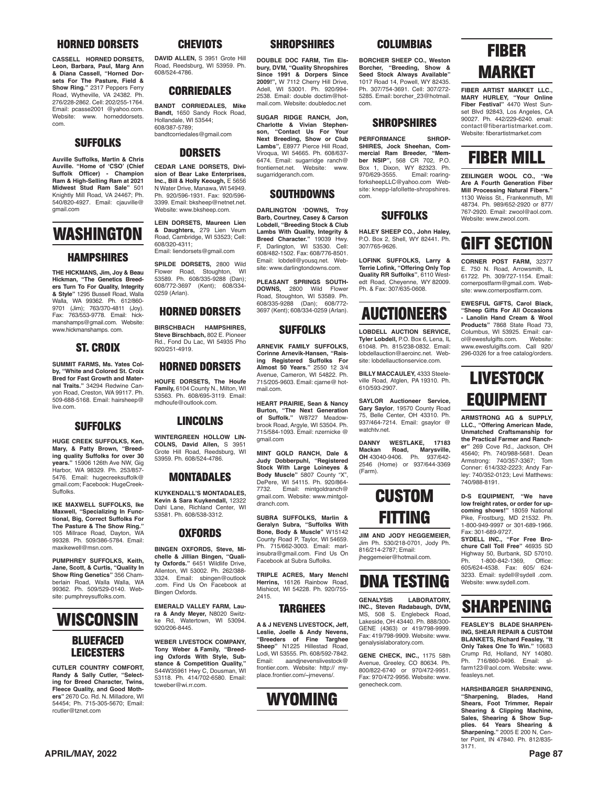#### **HORNED DORSETS**

**CASSELL HORNED DORSETS, Leon, Barbara, Paul, Marg Ann & Diana Cassell, "Horned Dorsets For The Pasture, Field & Show Ring."** 2317 Peppers Ferry Road, Wytheville, VA 24382. Ph. 276/228-2862. Cell: 202/255-1764. Email: pcasse2001 @yahoo.com. Website: www. horneddorsets. com.

#### **SUFFOLKS**

**Auville Suffolks, Martin & Chris Auville. "Home of 'CSO' (Chief**  Officer) - Champion **Ram & High-Selling Ram at 2021 Midwest Stud Ram Sale"** 501 Knightly Mill Road, VA 24467; Ph. 540/820-4927. Email: cjauville@ gmail.com

### **WASHINGTON**

#### **HAMPSHIRES**

**THE HICKMANS, Jim, Joy & Beau Hickman, "The Genetics Breeders Turn To For Quality, Integrity & Style"** 1295 Bussell Road, Walla Walla, WA 99362. Ph. 612/860- 9701 (Jim); 763/370-4811 (Joy). Fax: 763/553-9778. Email: hickmanshamps@gmail.com. Website: www.hickmanshamps. com.

#### **ST. CROIX**

**SUMMIT FARMS, Ms. Yates Colby, "White and Colored St. Croix Bred for Fast Growth and Maternal Traits."** 34294 Redwine Canyon Road, Creston, WA 99117. Ph. 509-688-5168. Email: hairsheep@ live.com.

#### **SUFFOLKS**

**HUGE CREEK SUFFOLKS, Ken, Mary, & Patty Brown, "Breeding quality Suffolks for over 30 years."** 15906 126th Ave NW, Gig Harbor, WA 98329. Ph. 253/857- 5476. Email: hugecreeksuffolk@ gmail.com; Facebook: HugeCreek-Suffolks.

**IKE MAXWELL SUFFOLKS, Ike Maxwell, "Specializing In Func-tional, Big, Correct Suffolks For The Pasture & The Show Ring."** 105 Millrace Road, Dayton, WA 99328. Ph. 509/386-5784. Email: maxikewell@msn.com.

**PUMPHREY SUFFOLKS, Keith, Jane, Scott, & Curtis, "Quality In Show Ring Genetics"** 356 Chamberlain Road, Walla Walla, WA 99362. Ph. 509/529-0140. Website: pumphreysuffolks.com.

### **WISCONSIN BLUEFACED LEICESTERS**

**CUTLER COUNTRY COMFORT, Randy & Sally Cutler, "Select-ing for Breed Character, Twins, Fleece Quality, and Good Mothers"** 2670 Co. Rd. N. Milladore, WI 54454; Ph. 715-305-5670; Email: rcutler@tznet.com

#### **CHEVIOTS**

**DAVID ALLEN,** S 3951 Grote Hill Road, Reedsburg, WI 53959. Ph. 608/524-4786.

#### **CORRIEDALES**

**BANDT CORRIEDALES, Mike Bandt,** 1650 Sandy Rock Road, Hollandale, WI 53544; 608/387-5789; bandtcorriedales@gmail.com

#### **DORSETS**

**CEDAR LANE DORSETS, Division of Bear Lake Enterprises, Inc., Bill & Holly Keough,** E 5656 N Water Drive, Manawa, WI 54949. Ph. 920/596-1931. Fax: 920/596- 3399. Email: bksheep@netnet.net. Website: www.bksheep.com.

**LEIN DORSETS, Maureen Lien & Daughters,** 279 Lien Veum Road, Cambridge, WI 53523; Cell: 608/320-4311;

Email: liendorsets@gmail.com **SPILDE DORSETS,** 2800 Wild Flower Road, Stoughton, WI 53589. Ph. 608/335-9288 (Dan); 608/772-3697 (Kent); 608/334-

#### **HORNED DORSETS**

0259 (Arlan).

**BIRSCHBACH HAMPSHIRES, Steve Birschbach,** 802 E. Pioneer Rd., Fond Du Lac, WI 54935 Pho 920/251-4919.

#### **HORNED DORSETS**

**HOUFE DORSETS, The Houfe Family,** 6104 County N., Milton, WI 53563. Ph. 608/695-3119. Email: mdhoufe@outlook.com.

## **LINCOLNS**

**WINTERGREEN HOLLOW LIN-COLNS, David Allen,** S 3951 Grote Hill Road, Reedsburg, WI 53959. Ph. 608/524-4786.

#### **MONTADALES**

**KUYKENDALL'S MONTADALES, Kevin & Sara Kuykendall,** 12322 Dahl Lane, Richland Center, WI 53581. Ph. 608/538-3312.

#### **OXFORDS**

**BINGEN OXFORDS, Steve, Michelle & Jillian Bingen, "Quali-ty Oxfords."** 6451 Wildlife Drive, Allenton, WI 53002. Ph. 262/388- 3324. Email: sbingen@outlook .com. Find Us On Facebook at Bingen Oxfords.

**EMERALD VALLEY FARM, Laura & Andy Meyer,** N8020 Switzke Rd, Watertown, WI 53094. 920/206-8445.

**WEBER LIVESTOCK COMPANY, Tony Weber & Family, "Breeding Oxfords With Style, Substance & Competition Quality,"** S44W35961 Hwy C, Dousman, WI 53118. Ph. 414/702-6580. Email: tcweber@wi.rr.com.

#### **SHROPSHIRES**

**DOUBLE DOC FARM, Tim Elsbury, DVM, "Quality Shropshires Since 1991 & Dorpers Since 2009!",** W 7112 Cherry Hill Drive, Adell, WI 53001. Ph. 920/994- 2538. Email: double doctim@hotmail.com. Website: doubledoc.net

**SUGAR RIDGE RANCH, Jon, Charlotte & Vivian Stephen-son, "Contact Us For Your Next Breeding, Show or Club Lambs",** E8977 Pierce Hill Road, Viroqua, WI 54665. Ph. 608/637- 6474. Email: sugarridge ranch@ frontiernet.net. Website: www. sugarridgeranch.com.

#### **SOUTHDOWNS**

**DARLINGTON 'DOWNS, Troy Barb, Courtney, Casey & Carson Lobdell, "Breeding Stock & Club Lambs With Quality, Integrity & Breed Character."** 19039 Hwy. Darlington, WI 53530. Cell: 608/482-1502. Fax: 608/776-8501. Email: lobdell@yousq.net. Website: www.darlingtondowns.com.

**PLEASANT SPRINGS SOUTH-DOWNS,** 2800 Wild Flower Road, Stoughton, WI 53589. Ph. 608/335-9288 (Dan); 608/772- 3697 (Kent); 608/334-0259 (Arlan).

#### **SUFFOLKS**

**ARNEVIK FAMILY SUFFOLKS, Corinne Arnevik-Hansen, "Raising Registered Suffolks For Almost 50 Years."** 2550 12 3/4 Avenue, Cameron, WI 54822. Ph. 715/205-9603. Email: cjarne@ hotmail.com.

**HEART PRAIRIE, Sean & Nancy Burton, "The Next Generation of Suffolk."** W8727 Meadowbrook Road, Argyle, WI 53504. Ph. 715/584-1093. Email: nzernicke @ gmail.com

**MINT GOLD RANCH, Dale & Judy Dobberpuhl, "Registered Stock With Large Loineyes & Body Muscle"** 5807 County "X", DePere, WI 54115. Ph. 920/864- Email: mintgoldranch@ gmail.com. Website: www.mintgoldranch.com.

**SUBRA SUFFOLKS, Marlin & Geralyn Subra, "Suffolks With Bone, Body & Muscle"** W15142 County Road P, Taylor, WI 54659. Ph. 715/662-3003. Email: marlinsubra@gmail.com. Find Us On Facebook at Subra Suffolks.

**TRIPLE ACRES, Mary Menchl Herrins,** 16126 Rainbow Road, Mishicot, WI 54228. Ph. 920/755- 2415.

#### **TARGHEES**

**A & J NEVENS LIVESTOCK, Jeff, Leslie, Joelle & Andy Nevens, "Breeders of Fine Targhee Sheep"** N1225 Hillestad Road, Lodi, WI 53555. Ph. 608/592-7842. Email: aandjnevenslivestock@ frontier.com. Website: http:// myplace.frontier.com/~jrnevens/.



#### **COLUMBIAS**

**BORCHER SHEEP CO., Weston Borcher, "Breeding, Show & Seed Stock Always Available"** 1017 Road 14, Powell, WY 82435. Ph. 307/754-3691. Cell: 307/272- 5285. Email: borcher\_23@hotmail. com.

#### **SHROPSHIRES**

**PERFORMANCE SHROP-SHIRES, Jock Sheehan, Commercial Ram Breeder, "Member NSIP", 568 CR 702, P.O.**<br>Box 1, Dixon, WY 82323, Ph. Box 1, Dixon, WY 82323. Ph. Email: roaringforksheepLLC@yahoo.com Website: knepp-lafollette-shropshires. com.

#### **SUFFOLKS**

**HALEY SHEEP CO., John Haley,** P.O. Box 2, Shell, WY 82441. Ph. 307/765-9626.

**LOFINK SUFFOLKS, Larry & Terrie Lofink, "Offering Only Top Quality RR Suffolks"**, 6110 Westedt Road, Cheyenne, WY 82009. Ph. & Fax: 307/635-0608.

### **AUCTIONEERS**

**LOBDELL AUCTION SERVICE Tyler Lobdell,** P.O. Box 6, Lena, IL 61048. Ph. 815/238-0832. Email: lobdellauction@aeroinc.net. Website: lobdellauctionservice.com

**BILLY MACCAULEY,** 4333 Steeleville Road, Atglen, PA 19310. Ph. 610/593-2907.

**SAYLOR Auctioneer Service, Gary Saylor**, 19570 County Road 75, Belle Center, OH 43310. Ph. 937/464-7214. Email: gsaylor @ watchtv.net.

**DANNY WESTLAKE, 17183 Mackan Road, Marysville, OH** 43040-9406. Ph. 937/642- 2546 (Home) or 937/644-3369 (Farm).



**JIM AND JODY HEGGEMEIER,** Jim Ph. 530/218-0701, Jody Ph. 816/214-2787; Email: jheggemeier@hotmail.com.



**GENALYSIS LABORATORY, INC., Steven Radabaugh, DVM,** MS, 508 S. Englebeck Road, Lakeside, OH 43440. Ph. 888/300- GENE (4363) or 419/798-9999. Fax: 419/798-9909. Website: www. genalysislaboratory.com.

**GENE CHECK, INC.,** 1175 58th Avenue, Greeley, CO 80634. Ph. 800/822-6740 or 970/472-9951. Fax: 970/472-9956. Website: www. genecheck.com.



**FIBER ARTIST MARKET LLC., MARY HURLEY, "Your Online Fiber Festival"** 4470 West Sunset Blvd 92843, Los Angeles, CA 90027. Ph. 442/229-6240. email: contact@fiberartistmarket.com. Website: fiberartistmarket.com

## **FIBER MILL**

**ZEILINGER WOOL CO., "We Are A Fourth Generation Fiber Mill Processing Natural Fibers."**  1130 Weiss St., Frankenmuth, MI 48734. Ph. 989/652-2920 or 877/ 767-2920. Email: zwool@aol.com. Website: www.zwool.com

### **GIFT SECTION**

**CORNER POST FARM,** 32377 E. 750 N. Road, Arrowsmith, IL 61722. Ph. 309/727-1154. Email: cornerpostfarm@gmail.com. Website: www.cornerpostfarm.com.

**EWESFUL GIFTS, Carol Black, "Sheep Gifts For All Occasions - Lanolin Hand Cream & Wool Products"** 7868 State Road 73, Columbus, WI 53925. Email: carol@ewesfulgifts.com. Website: www.ewesfulgifts.com. Call 920/ 296-0326 for a free catalog/orders.

### **LIVESTOCK EQUIPMENT**

**ARMSTRONG AG & SUPPLY, LLC., "Offering American Made, Unmatched Craftsmanship for the Practical Farmer and Rancher"** 269 Cove Rd., Jackson, OH 45640; Ph. 740/988-5681. Dean Armstrong: 740/357-3367; Tom Conner: 614/332-2223; Andy Farley: 740/352-0123; Levi Matthews: 740/988-8191.

**D-S EQUIPMENT, "We have low freight rates, or order for upcoming shows!"** 18059 National Pike, Frostburg, MD 21532. Ph. 1-800-949-9997 or 301-689-1966. Fax: 301-689-9727.

**SYDELL INC., "For Free Bro-chure Call Toll Free"** 46935 SD Highway 50, Burbank, SD 57010. Ph. 1-800-842-1369, Office: 605/624-4538. Fax: 605/ 624- 3233. Email: sydell@sydell .com. Website: www.sydell.com.

### **SHARPENING**

**FEASLEY'S BLADE SHARPEN-ING, SHEAR REPAIR & CUSTOM BLANKETS, Richard Feasley, "It Only Takes One To Win."** 10683 Crump Rd, Holland, NY 14080.<br>Ph. 716/860-9496. Email: sl-716/860-9496. Email: slfarm123@aol.com. Website: www. feasleys.net.

**HARSHBARGER SHARPENING, "Sharpening, Blades, Hand Shears, Foot Trimmer, Repair Shearing & Clipping Machine, Sales, Shearing & Show Supplies. 64 Years Shearing & Sharpening."** 2005 E 200 N, Cen-ter Point, IN 47840. Ph. 812/835- 3171.